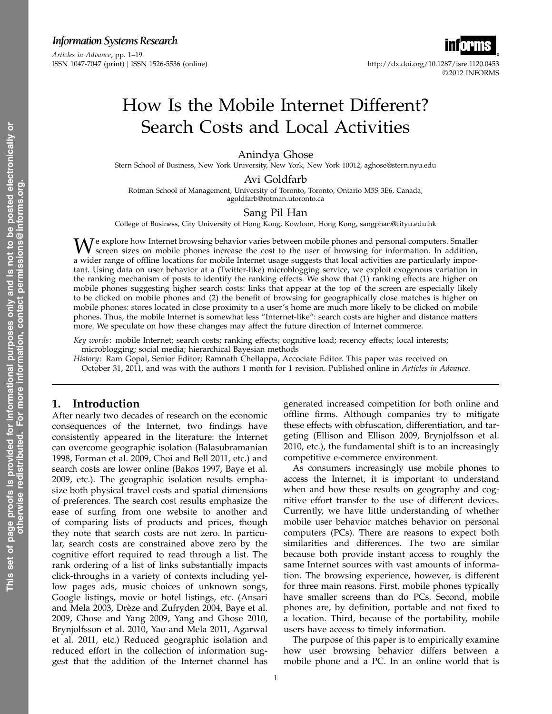# *Information Systems Research*

Articles in Advance, pp. 1–19 ISSN 1047-7047 (print) ISSN 1526-5536 (online) http://dx.doi.org/10.1287/isre.1120.0453



© 2012 INFORMS

# How Is the Mobile Internet Different? Search Costs and Local Activities

Anindya Ghose

Stern School of Business, New York University, New York, New York 10012, aghose@stern.nyu.edu

Avi Goldfarb

Rotman School of Management, University of Toronto, Toronto, Ontario M5S 3E6, Canada, agoldfarb@rotman.utoronto.ca

# Sang Pil Han

College of Business, City University of Hong Kong, Kowloon, Hong Kong, sangphan@cityu.edu.hk

We explore how Internet browsing behavior varies between mobile phones and personal computers. Smaller<br>screen sizes on mobile phones increase the cost to the user of browsing for information. In addition, a wider range of offline locations for mobile Internet usage suggests that local activities are particularly important. Using data on user behavior at a (Twitter-like) microblogging service, we exploit exogenous variation in the ranking mechanism of posts to identify the ranking effects. We show that (1) ranking effects are higher on mobile phones suggesting higher search costs: links that appear at the top of the screen are especially likely to be clicked on mobile phones and (2) the benefit of browsing for geographically close matches is higher on mobile phones: stores located in close proximity to a user's home are much more likely to be clicked on mobile phones. Thus, the mobile Internet is somewhat less "Internet-like": search costs are higher and distance matters more. We speculate on how these changes may affect the future direction of Internet commerce.

Key words: mobile Internet; search costs; ranking effects; cognitive load; recency effects; local interests; microblogging; social media; hierarchical Bayesian methods

History: Ram Gopal, Senior Editor; Ramnath Chellappa, Accociate Editor. This paper was received on October 31, 2011, and was with the authors 1 month for 1 revision. Published online in Articles in Advance.

# 1. Introduction

After nearly two decades of research on the economic consequences of the Internet, two findings have consistently appeared in the literature: the Internet can overcome geographic isolation (Balasubramanian 1998, Forman et al. 2009, Choi and Bell 2011, etc.) and search costs are lower online (Bakos 1997, Baye et al. 2009, etc.). The geographic isolation results emphasize both physical travel costs and spatial dimensions of preferences. The search cost results emphasize the ease of surfing from one website to another and of comparing lists of products and prices, though they note that search costs are not zero. In particular, search costs are constrained above zero by the cognitive effort required to read through a list. The rank ordering of a list of links substantially impacts click-throughs in a variety of contexts including yellow pages ads, music choices of unknown songs, Google listings, movie or hotel listings, etc. (Ansari and Mela 2003, Drèze and Zufryden 2004, Baye et al. 2009, Ghose and Yang 2009, Yang and Ghose 2010, Brynjolfsson et al. 2010, Yao and Mela 2011, Agarwal et al. 2011, etc.) Reduced geographic isolation and reduced effort in the collection of information suggest that the addition of the Internet channel has

generated increased competition for both online and offline firms. Although companies try to mitigate these effects with obfuscation, differentiation, and targeting (Ellison and Ellison 2009, Brynjolfsson et al. 2010, etc.), the fundamental shift is to an increasingly competitive e-commerce environment.

As consumers increasingly use mobile phones to access the Internet, it is important to understand when and how these results on geography and cognitive effort transfer to the use of different devices. Currently, we have little understanding of whether mobile user behavior matches behavior on personal computers (PCs). There are reasons to expect both similarities and differences. The two are similar because both provide instant access to roughly the same Internet sources with vast amounts of information. The browsing experience, however, is different for three main reasons. First, mobile phones typically have smaller screens than do PCs. Second, mobile phones are, by definition, portable and not fixed to a location. Third, because of the portability, mobile users have access to timely information.

The purpose of this paper is to empirically examine how user browsing behavior differs between a mobile phone and a PC. In an online world that is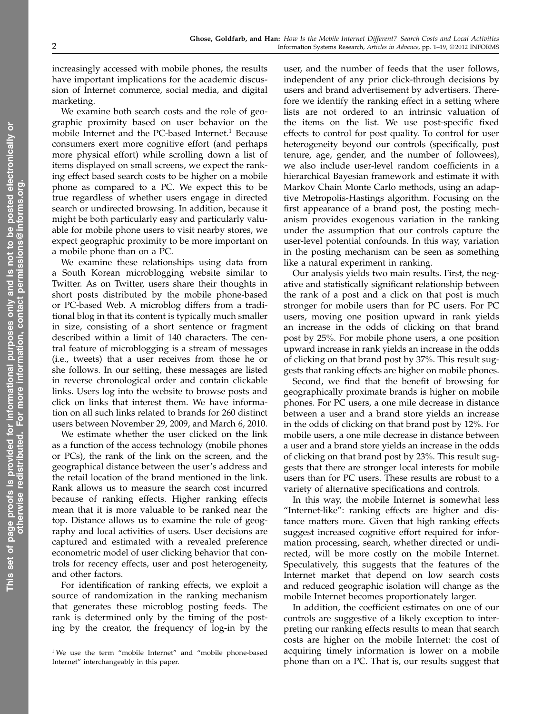increasingly accessed with mobile phones, the results have important implications for the academic discussion of Internet commerce, social media, and digital marketing.

We examine both search costs and the role of geographic proximity based on user behavior on the mobile Internet and the PC-based Internet.<sup>1</sup> Because consumers exert more cognitive effort (and perhaps more physical effort) while scrolling down a list of items displayed on small screens, we expect the ranking effect based search costs to be higher on a mobile phone as compared to a PC. We expect this to be true regardless of whether users engage in directed search or undirected browsing. In addition, because it might be both particularly easy and particularly valuable for mobile phone users to visit nearby stores, we expect geographic proximity to be more important on a mobile phone than on a PC.

We examine these relationships using data from a South Korean microblogging website similar to Twitter. As on Twitter, users share their thoughts in short posts distributed by the mobile phone-based or PC-based Web. A microblog differs from a traditional blog in that its content is typically much smaller in size, consisting of a short sentence or fragment described within a limit of 140 characters. The central feature of microblogging is a stream of messages (i.e., tweets) that a user receives from those he or she follows. In our setting, these messages are listed in reverse chronological order and contain clickable links. Users log into the website to browse posts and click on links that interest them. We have information on all such links related to brands for 260 distinct users between November 29, 2009, and March 6, 2010.

We estimate whether the user clicked on the link as a function of the access technology (mobile phones or PCs), the rank of the link on the screen, and the geographical distance between the user's address and the retail location of the brand mentioned in the link. Rank allows us to measure the search cost incurred because of ranking effects. Higher ranking effects mean that it is more valuable to be ranked near the top. Distance allows us to examine the role of geography and local activities of users. User decisions are captured and estimated with a revealed preference econometric model of user clicking behavior that controls for recency effects, user and post heterogeneity, and other factors.

For identification of ranking effects, we exploit a source of randomization in the ranking mechanism that generates these microblog posting feeds. The rank is determined only by the timing of the posting by the creator, the frequency of log-in by the user, and the number of feeds that the user follows, independent of any prior click-through decisions by users and brand advertisement by advertisers. Therefore we identify the ranking effect in a setting where lists are not ordered to an intrinsic valuation of the items on the list. We use post-specific fixed effects to control for post quality. To control for user heterogeneity beyond our controls (specifically, post tenure, age, gender, and the number of followees), we also include user-level random coefficients in a hierarchical Bayesian framework and estimate it with Markov Chain Monte Carlo methods, using an adaptive Metropolis-Hastings algorithm. Focusing on the first appearance of a brand post, the posting mechanism provides exogenous variation in the ranking under the assumption that our controls capture the user-level potential confounds. In this way, variation in the posting mechanism can be seen as something like a natural experiment in ranking.

Our analysis yields two main results. First, the negative and statistically significant relationship between the rank of a post and a click on that post is much stronger for mobile users than for PC users. For PC users, moving one position upward in rank yields an increase in the odds of clicking on that brand post by 25%. For mobile phone users, a one position upward increase in rank yields an increase in the odds of clicking on that brand post by 37%. This result suggests that ranking effects are higher on mobile phones.

Second, we find that the benefit of browsing for geographically proximate brands is higher on mobile phones. For PC users, a one mile decrease in distance between a user and a brand store yields an increase in the odds of clicking on that brand post by 12%. For mobile users, a one mile decrease in distance between a user and a brand store yields an increase in the odds of clicking on that brand post by 23%. This result suggests that there are stronger local interests for mobile users than for PC users. These results are robust to a variety of alternative specifications and controls.

In this way, the mobile Internet is somewhat less "Internet-like": ranking effects are higher and distance matters more. Given that high ranking effects suggest increased cognitive effort required for information processing, search, whether directed or undirected, will be more costly on the mobile Internet. Speculatively, this suggests that the features of the Internet market that depend on low search costs and reduced geographic isolation will change as the mobile Internet becomes proportionately larger.

In addition, the coefficient estimates on one of our controls are suggestive of a likely exception to interpreting our ranking effects results to mean that search costs are higher on the mobile Internet: the cost of acquiring timely information is lower on a mobile phone than on a PC. That is, our results suggest that

<sup>&</sup>lt;sup>1</sup>We use the term "mobile Internet" and "mobile phone-based Internet" interchangeably in this paper.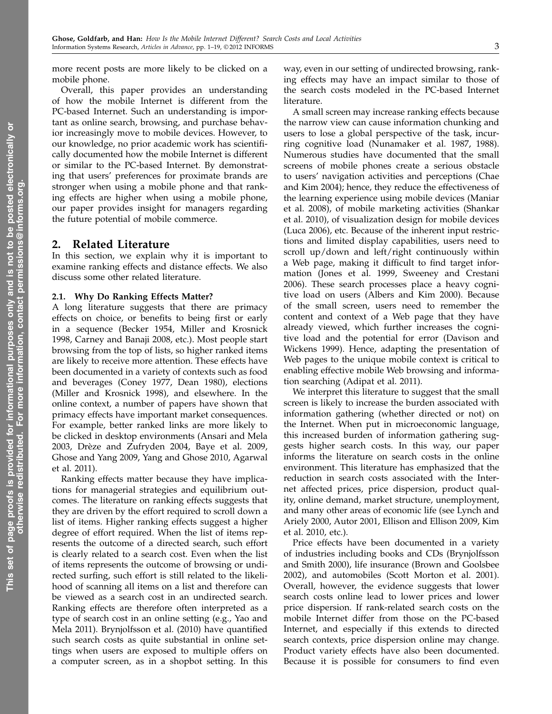more recent posts are more likely to be clicked on a mobile phone.

Overall, this paper provides an understanding of how the mobile Internet is different from the PC-based Internet. Such an understanding is important as online search, browsing, and purchase behavior increasingly move to mobile devices. However, to our knowledge, no prior academic work has scientifically documented how the mobile Internet is different or similar to the PC-based Internet. By demonstrating that users' preferences for proximate brands are stronger when using a mobile phone and that ranking effects are higher when using a mobile phone, our paper provides insight for managers regarding the future potential of mobile commerce.

## 2. Related Literature

In this section, we explain why it is important to examine ranking effects and distance effects. We also discuss some other related literature.

## 2.1. Why Do Ranking Effects Matter?

A long literature suggests that there are primacy effects on choice, or benefits to being first or early in a sequence (Becker 1954, Miller and Krosnick 1998, Carney and Banaji 2008, etc.). Most people start browsing from the top of lists, so higher ranked items are likely to receive more attention. These effects have been documented in a variety of contexts such as food and beverages (Coney 1977, Dean 1980), elections (Miller and Krosnick 1998), and elsewhere. In the online context, a number of papers have shown that primacy effects have important market consequences. For example, better ranked links are more likely to be clicked in desktop environments (Ansari and Mela 2003, Drèze and Zufryden 2004, Baye et al. 2009, Ghose and Yang 2009, Yang and Ghose 2010, Agarwal et al. 2011).

Ranking effects matter because they have implications for managerial strategies and equilibrium outcomes. The literature on ranking effects suggests that they are driven by the effort required to scroll down a list of items. Higher ranking effects suggest a higher degree of effort required. When the list of items represents the outcome of a directed search, such effort is clearly related to a search cost. Even when the list of items represents the outcome of browsing or undirected surfing, such effort is still related to the likelihood of scanning all items on a list and therefore can be viewed as a search cost in an undirected search. Ranking effects are therefore often interpreted as a type of search cost in an online setting (e.g., Yao and Mela 2011). Brynjolfsson et al. (2010) have quantified such search costs as quite substantial in online settings when users are exposed to multiple offers on a computer screen, as in a shopbot setting. In this

way, even in our setting of undirected browsing, ranking effects may have an impact similar to those of the search costs modeled in the PC-based Internet literature.

A small screen may increase ranking effects because the narrow view can cause information chunking and users to lose a global perspective of the task, incurring cognitive load (Nunamaker et al. 1987, 1988). Numerous studies have documented that the small screens of mobile phones create a serious obstacle to users' navigation activities and perceptions (Chae and Kim 2004); hence, they reduce the effectiveness of the learning experience using mobile devices (Maniar et al. 2008), of mobile marketing activities (Shankar et al. 2010), of visualization design for mobile devices (Luca 2006), etc. Because of the inherent input restrictions and limited display capabilities, users need to scroll up/down and left/right continuously within a Web page, making it difficult to find target information (Jones et al. 1999, Sweeney and Crestani 2006). These search processes place a heavy cognitive load on users (Albers and Kim 2000). Because of the small screen, users need to remember the content and context of a Web page that they have already viewed, which further increases the cognitive load and the potential for error (Davison and Wickens 1999). Hence, adapting the presentation of Web pages to the unique mobile context is critical to enabling effective mobile Web browsing and information searching (Adipat et al. 2011).

We interpret this literature to suggest that the small screen is likely to increase the burden associated with information gathering (whether directed or not) on the Internet. When put in microeconomic language, this increased burden of information gathering suggests higher search costs. In this way, our paper informs the literature on search costs in the online environment. This literature has emphasized that the reduction in search costs associated with the Internet affected prices, price dispersion, product quality, online demand, market structure, unemployment, and many other areas of economic life (see Lynch and Ariely 2000, Autor 2001, Ellison and Ellison 2009, Kim et al. 2010, etc.).

Price effects have been documented in a variety of industries including books and CDs (Brynjolfsson and Smith 2000), life insurance (Brown and Goolsbee 2002), and automobiles (Scott Morton et al. 2001). Overall, however, the evidence suggests that lower search costs online lead to lower prices and lower price dispersion. If rank-related search costs on the mobile Internet differ from those on the PC-based Internet, and especially if this extends to directed search contexts, price dispersion online may change. Product variety effects have also been documented. Because it is possible for consumers to find even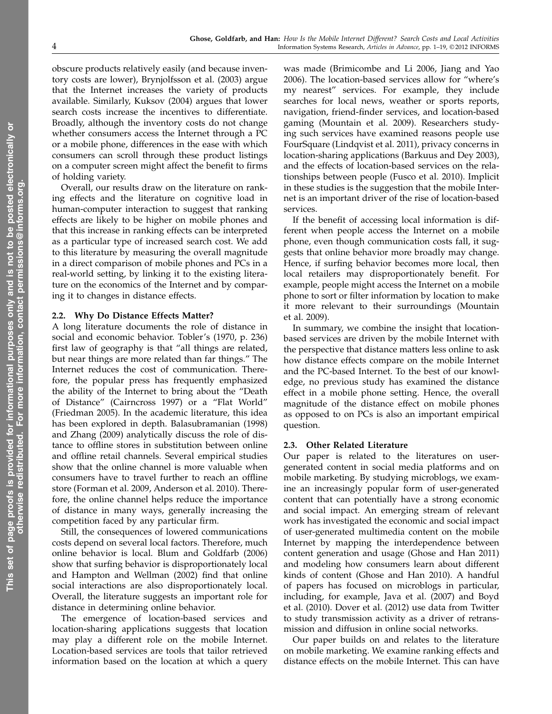obscure products relatively easily (and because inventory costs are lower), Brynjolfsson et al. (2003) argue that the Internet increases the variety of products available. Similarly, Kuksov (2004) argues that lower search costs increase the incentives to differentiate. Broadly, although the inventory costs do not change whether consumers access the Internet through a PC or a mobile phone, differences in the ease with which consumers can scroll through these product listings on a computer screen might affect the benefit to firms of holding variety.

Overall, our results draw on the literature on ranking effects and the literature on cognitive load in human-computer interaction to suggest that ranking effects are likely to be higher on mobile phones and that this increase in ranking effects can be interpreted as a particular type of increased search cost. We add to this literature by measuring the overall magnitude in a direct comparison of mobile phones and PCs in a real-world setting, by linking it to the existing literature on the economics of the Internet and by comparing it to changes in distance effects.

## 2.2. Why Do Distance Effects Matter?

A long literature documents the role of distance in social and economic behavior. Tobler's (1970, p. 236) first law of geography is that "all things are related, but near things are more related than far things." The Internet reduces the cost of communication. Therefore, the popular press has frequently emphasized the ability of the Internet to bring about the "Death of Distance" (Cairncross 1997) or a "Flat World" (Friedman 2005). In the academic literature, this idea has been explored in depth. Balasubramanian (1998) and Zhang (2009) analytically discuss the role of distance to offline stores in substitution between online and offline retail channels. Several empirical studies show that the online channel is more valuable when consumers have to travel further to reach an offline store (Forman et al. 2009, Anderson et al. 2010). Therefore, the online channel helps reduce the importance of distance in many ways, generally increasing the competition faced by any particular firm.

Still, the consequences of lowered communications costs depend on several local factors. Therefore, much online behavior is local. Blum and Goldfarb (2006) show that surfing behavior is disproportionately local and Hampton and Wellman (2002) find that online social interactions are also disproportionately local. Overall, the literature suggests an important role for distance in determining online behavior.

The emergence of location-based services and location-sharing applications suggests that location may play a different role on the mobile Internet. Location-based services are tools that tailor retrieved information based on the location at which a query

was made (Brimicombe and Li 2006, Jiang and Yao 2006). The location-based services allow for "where's my nearest" services. For example, they include searches for local news, weather or sports reports, navigation, friend-finder services, and location-based gaming (Mountain et al. 2009). Researchers studying such services have examined reasons people use FourSquare (Lindqvist et al. 2011), privacy concerns in location-sharing applications (Barkuus and Dey 2003), and the effects of location-based services on the relationships between people (Fusco et al. 2010). Implicit in these studies is the suggestion that the mobile Internet is an important driver of the rise of location-based services.

If the benefit of accessing local information is different when people access the Internet on a mobile phone, even though communication costs fall, it suggests that online behavior more broadly may change. Hence, if surfing behavior becomes more local, then local retailers may disproportionately benefit. For example, people might access the Internet on a mobile phone to sort or filter information by location to make it more relevant to their surroundings (Mountain et al. 2009).

In summary, we combine the insight that locationbased services are driven by the mobile Internet with the perspective that distance matters less online to ask how distance effects compare on the mobile Internet and the PC-based Internet. To the best of our knowledge, no previous study has examined the distance effect in a mobile phone setting. Hence, the overall magnitude of the distance effect on mobile phones as opposed to on PCs is also an important empirical question.

## 2.3. Other Related Literature

Our paper is related to the literatures on usergenerated content in social media platforms and on mobile marketing. By studying microblogs, we examine an increasingly popular form of user-generated content that can potentially have a strong economic and social impact. An emerging stream of relevant work has investigated the economic and social impact of user-generated multimedia content on the mobile Internet by mapping the interdependence between content generation and usage (Ghose and Han 2011) and modeling how consumers learn about different kinds of content (Ghose and Han 2010). A handful of papers has focused on microblogs in particular, including, for example, Java et al. (2007) and Boyd et al. (2010). Dover et al. (2012) use data from Twitter to study transmission activity as a driver of retransmission and diffusion in online social networks.

Our paper builds on and relates to the literature on mobile marketing. We examine ranking effects and distance effects on the mobile Internet. This can have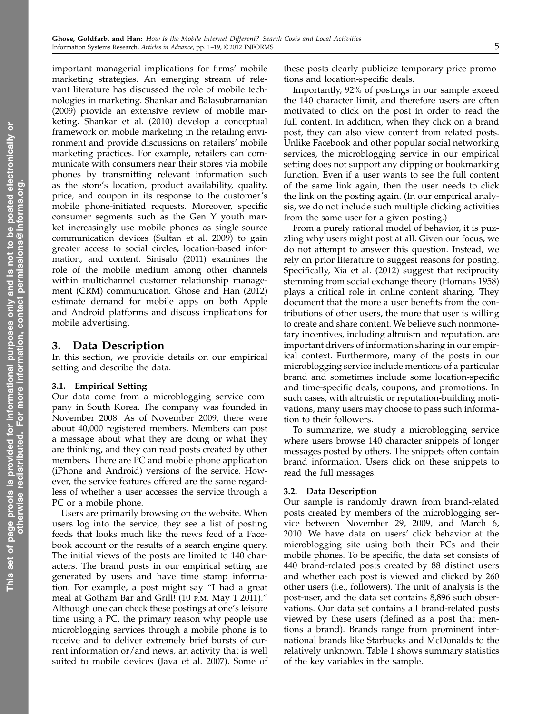important managerial implications for firms' mobile marketing strategies. An emerging stream of relevant literature has discussed the role of mobile technologies in marketing. Shankar and Balasubramanian (2009) provide an extensive review of mobile marketing. Shankar et al. (2010) develop a conceptual framework on mobile marketing in the retailing environment and provide discussions on retailers' mobile marketing practices. For example, retailers can communicate with consumers near their stores via mobile phones by transmitting relevant information such as the store's location, product availability, quality, price, and coupon in its response to the customer's mobile phone-initiated requests. Moreover, specific consumer segments such as the Gen Y youth market increasingly use mobile phones as single-source communication devices (Sultan et al. 2009) to gain greater access to social circles, location-based information, and content. Sinisalo (2011) examines the role of the mobile medium among other channels within multichannel customer relationship management (CRM) communication. Ghose and Han (2012) estimate demand for mobile apps on both Apple and Android platforms and discuss implications for mobile advertising.

# 3. Data Description

In this section, we provide details on our empirical setting and describe the data.

## 3.1. Empirical Setting

Our data come from a microblogging service company in South Korea. The company was founded in November 2008. As of November 2009, there were about 40,000 registered members. Members can post a message about what they are doing or what they are thinking, and they can read posts created by other members. There are PC and mobile phone application (iPhone and Android) versions of the service. However, the service features offered are the same regardless of whether a user accesses the service through a PC or a mobile phone.

Users are primarily browsing on the website. When users log into the service, they see a list of posting feeds that looks much like the news feed of a Facebook account or the results of a search engine query. The initial views of the posts are limited to 140 characters. The brand posts in our empirical setting are generated by users and have time stamp information. For example, a post might say "I had a great meal at Gotham Bar and Grill! (10 p.m. May 1 2011)." Although one can check these postings at one's leisure time using a PC, the primary reason why people use microblogging services through a mobile phone is to receive and to deliver extremely brief bursts of current information or/and news, an activity that is well suited to mobile devices (Java et al. 2007). Some of these posts clearly publicize temporary price promotions and location-specific deals.

Importantly, 92% of postings in our sample exceed the 140 character limit, and therefore users are often motivated to click on the post in order to read the full content. In addition, when they click on a brand post, they can also view content from related posts. Unlike Facebook and other popular social networking services, the microblogging service in our empirical setting does not support any clipping or bookmarking function. Even if a user wants to see the full content of the same link again, then the user needs to click the link on the posting again. (In our empirical analysis, we do not include such multiple clicking activities from the same user for a given posting.)

From a purely rational model of behavior, it is puzzling why users might post at all. Given our focus, we do not attempt to answer this question. Instead, we rely on prior literature to suggest reasons for posting. Specifically, Xia et al. (2012) suggest that reciprocity stemming from social exchange theory (Homans 1958) plays a critical role in online content sharing. They document that the more a user benefits from the contributions of other users, the more that user is willing to create and share content. We believe such nonmonetary incentives, including altruism and reputation, are important drivers of information sharing in our empirical context. Furthermore, many of the posts in our microblogging service include mentions of a particular brand and sometimes include some location-specific and time-specific deals, coupons, and promotions. In such cases, with altruistic or reputation-building motivations, many users may choose to pass such information to their followers.

To summarize, we study a microblogging service where users browse 140 character snippets of longer messages posted by others. The snippets often contain brand information. Users click on these snippets to read the full messages.

## 3.2. Data Description

Our sample is randomly drawn from brand-related posts created by members of the microblogging service between November 29, 2009, and March 6, 2010. We have data on users' click behavior at the microblogging site using both their PCs and their mobile phones. To be specific, the data set consists of 440 brand-related posts created by 88 distinct users and whether each post is viewed and clicked by 260 other users (i.e., followers). The unit of analysis is the post-user, and the data set contains 8,896 such observations. Our data set contains all brand-related posts viewed by these users (defined as a post that mentions a brand). Brands range from prominent international brands like Starbucks and McDonalds to the relatively unknown. Table 1 shows summary statistics of the key variables in the sample.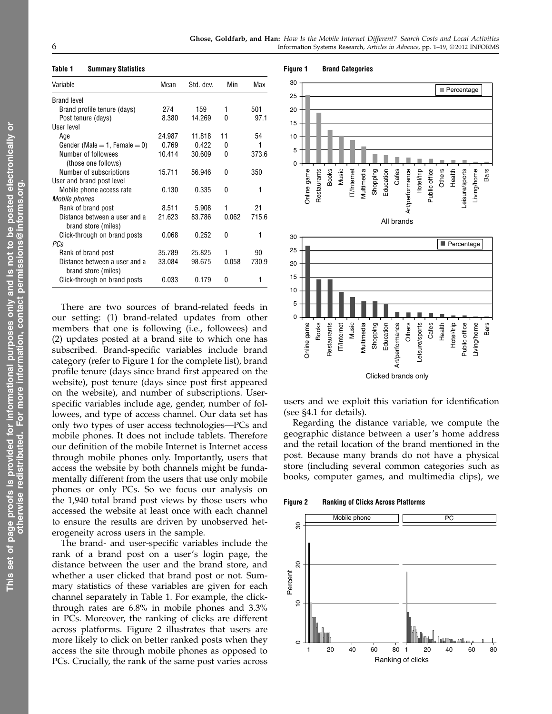Table 1 Summary Statistics

| Variable                         | Mean   | Std. dev. | Min      | Max   |
|----------------------------------|--------|-----------|----------|-------|
| <b>Brand level</b>               |        |           |          |       |
| Brand profile tenure (days)      | 274    | 159       | 1        | 501   |
| Post tenure (days)               | 8.380  | 14.269    | 0        | 97.1  |
| User level                       |        |           |          |       |
| Age                              | 24.987 | 11.818    | 11       | 54    |
| Gender (Male = $1$ , Female = 0) | 0.769  | 0.422     | 0        | 1     |
| Number of followees              | 10.414 | 30.609    | 0        | 373.6 |
| (those one follows)              |        |           |          |       |
| Number of subscriptions          | 15.711 | 56.946    | $\Omega$ | 350   |
| User and brand post level        |        |           |          |       |
| Mobile phone access rate         | 0.130  | 0.335     | 0        | 1     |
| Mobile phones                    |        |           |          |       |
| Rank of brand post               | 8.511  | 5.908     | 1        | 21    |
| Distance between a user and a    | 21.623 | 83.786    | 0.062    | 715.6 |
| brand store (miles)              |        |           |          |       |
| Click-through on brand posts     | 0.068  | 0.252     | 0        | 1     |
| PCs                              |        |           |          |       |
| Rank of brand post               | 35.789 | 25.825    | 1        | 90    |
| Distance between a user and a    | 33.084 | 98.675    | 0.058    | 730.9 |
| brand store (miles)              |        |           |          |       |
| Click-through on brand posts     | 0.033  | 0.179     | 0        | 1     |
|                                  |        |           |          |       |

There are two sources of brand-related feeds in our setting: (1) brand-related updates from other members that one is following (i.e., followees) and (2) updates posted at a brand site to which one has subscribed. Brand-specific variables include brand category (refer to Figure 1 for the complete list), brand profile tenure (days since brand first appeared on the website), post tenure (days since post first appeared on the website), and number of subscriptions. Userspecific variables include age, gender, number of followees, and type of access channel. Our data set has only two types of user access technologies—PCs and mobile phones. It does not include tablets. Therefore our definition of the mobile Internet is Internet access through mobile phones only. Importantly, users that access the website by both channels might be fundamentally different from the users that use only mobile phones or only PCs. So we focus our analysis on the 1,940 total brand post views by those users who accessed the website at least once with each channel to ensure the results are driven by unobserved heterogeneity across users in the sample.

The brand- and user-specific variables include the rank of a brand post on a user's login page, the distance between the user and the brand store, and whether a user clicked that brand post or not. Summary statistics of these variables are given for each channel separately in Table 1. For example, the clickthrough rates are 6.8% in mobile phones and 3.3% in PCs. Moreover, the ranking of clicks are different across platforms. Figure 2 illustrates that users are more likely to click on better ranked posts when they access the site through mobile phones as opposed to PCs. Crucially, the rank of the same post varies across



users and we exploit this variation for identification (see §4.1 for details).

Regarding the distance variable, we compute the geographic distance between a user's home address and the retail location of the brand mentioned in the post. Because many brands do not have a physical store (including several common categories such as books, computer games, and multimedia clips), we



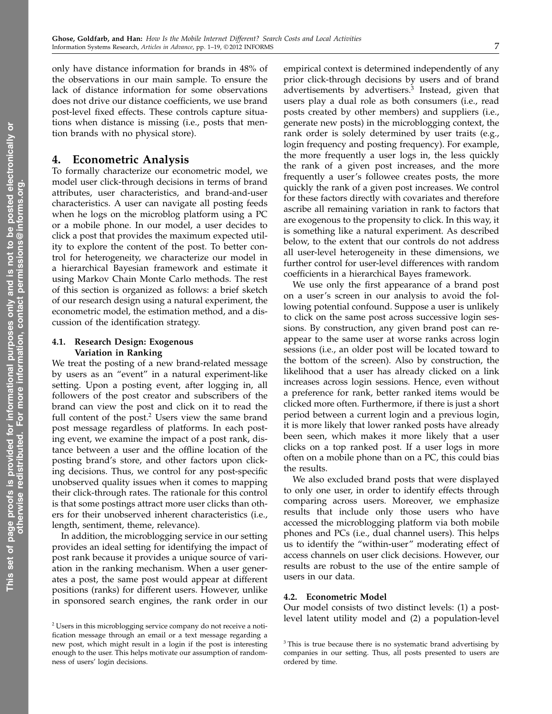only have distance information for brands in 48% of the observations in our main sample. To ensure the lack of distance information for some observations does not drive our distance coefficients, we use brand post-level fixed effects. These controls capture situations when distance is missing (i.e., posts that mention brands with no physical store).

# 4. Econometric Analysis

To formally characterize our econometric model, we model user click-through decisions in terms of brand attributes, user characteristics, and brand-and-user characteristics. A user can navigate all posting feeds when he logs on the microblog platform using a PC or a mobile phone. In our model, a user decides to click a post that provides the maximum expected utility to explore the content of the post. To better control for heterogeneity, we characterize our model in a hierarchical Bayesian framework and estimate it using Markov Chain Monte Carlo methods. The rest of this section is organized as follows: a brief sketch of our research design using a natural experiment, the econometric model, the estimation method, and a discussion of the identification strategy.

## 4.1. Research Design: Exogenous Variation in Ranking

We treat the posting of a new brand-related message by users as an "event" in a natural experiment-like setting. Upon a posting event, after logging in, all followers of the post creator and subscribers of the brand can view the post and click on it to read the full content of the post.<sup>2</sup> Users view the same brand post message regardless of platforms. In each posting event, we examine the impact of a post rank, distance between a user and the offline location of the posting brand's store, and other factors upon clicking decisions. Thus, we control for any post-specific unobserved quality issues when it comes to mapping their click-through rates. The rationale for this control is that some postings attract more user clicks than others for their unobserved inherent characteristics (i.e., length, sentiment, theme, relevance).

In addition, the microblogging service in our setting provides an ideal setting for identifying the impact of post rank because it provides a unique source of variation in the ranking mechanism. When a user generates a post, the same post would appear at different positions (ranks) for different users. However, unlike in sponsored search engines, the rank order in our

empirical context is determined independently of any prior click-through decisions by users and of brand advertisements by advertisers.<sup>3</sup> Instead, given that users play a dual role as both consumers (i.e., read posts created by other members) and suppliers (i.e., generate new posts) in the microblogging context, the rank order is solely determined by user traits (e.g., login frequency and posting frequency). For example, the more frequently a user logs in, the less quickly the rank of a given post increases, and the more frequently a user's followee creates posts, the more quickly the rank of a given post increases. We control for these factors directly with covariates and therefore ascribe all remaining variation in rank to factors that are exogenous to the propensity to click. In this way, it is something like a natural experiment. As described below, to the extent that our controls do not address all user-level heterogeneity in these dimensions, we further control for user-level differences with random coefficients in a hierarchical Bayes framework.

We use only the first appearance of a brand post on a user's screen in our analysis to avoid the following potential confound. Suppose a user is unlikely to click on the same post across successive login sessions. By construction, any given brand post can reappear to the same user at worse ranks across login sessions (i.e., an older post will be located toward to the bottom of the screen). Also by construction, the likelihood that a user has already clicked on a link increases across login sessions. Hence, even without a preference for rank, better ranked items would be clicked more often. Furthermore, if there is just a short period between a current login and a previous login, it is more likely that lower ranked posts have already been seen, which makes it more likely that a user clicks on a top ranked post. If a user logs in more often on a mobile phone than on a PC, this could bias the results.

We also excluded brand posts that were displayed to only one user, in order to identify effects through comparing across users. Moreover, we emphasize results that include only those users who have accessed the microblogging platform via both mobile phones and PCs (i.e., dual channel users). This helps us to identify the "within-user" moderating effect of access channels on user click decisions. However, our results are robust to the use of the entire sample of users in our data.

## 4.2. Econometric Model

Our model consists of two distinct levels: (1) a postlevel latent utility model and (2) a population-level

 $\overline{\mathbf{o}}$ 

<sup>2</sup> Users in this microblogging service company do not receive a notification message through an email or a text message regarding a new post, which might result in a login if the post is interesting enough to the user. This helps motivate our assumption of randomness of users' login decisions.

<sup>&</sup>lt;sup>3</sup> This is true because there is no systematic brand advertising by companies in our setting. Thus, all posts presented to users are ordered by time.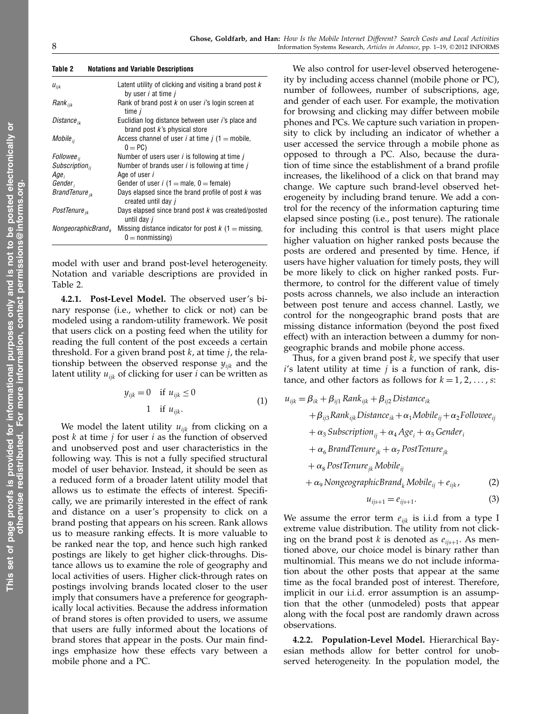| Table 2 | <b>Notations and Variable Descriptions</b> |  |  |
|---------|--------------------------------------------|--|--|
|---------|--------------------------------------------|--|--|

| $u_{ijk}$                      | Latent utility of clicking and visiting a brand post $k$<br>by user <i>i</i> at time <i>j</i> |
|--------------------------------|-----------------------------------------------------------------------------------------------|
| $Rank_{ijk}$                   | Rank of brand post k on user i's login screen at<br>time <i>i</i>                             |
| Distance $_{ik}$               | Euclidian log distance between user <i>i's</i> place and<br>brand post $k$ 's physical store  |
| Mobile <sub>ii</sub>           | Access channel of user <i>i</i> at time <i>j</i> $(1 = \text{mobile}, \text{?})$<br>$0 = PC$  |
| Followee <sub>ii</sub>         | Number of users user <i>i</i> is following at time <i>i</i>                                   |
| Subscription <sub>ii</sub>     | Number of brands user <i>i</i> is following at time <i>i</i>                                  |
| $Age_i$                        | Age of user <i>i</i>                                                                          |
| Gender,                        | Gender of user $i$ (1 = male, 0 = female)                                                     |
| BrandTenure <sub>ik</sub>      | Days elapsed since the brand profile of post k was<br>created until day <i>i</i>              |
| PostTenure <sub>ik</sub>       | Days elapsed since brand post k was created/posted<br>until day <i>i</i>                      |
| $\textit{NongeoraphicBrand}_k$ | Missing distance indicator for post $k$ (1 = missing,<br>$0 =$ nonmissing)                    |

model with user and brand post-level heterogeneity. Notation and variable descriptions are provided in Table 2.

4.2.1. Post-Level Model. The observed user's binary response (i.e., whether to click or not) can be modeled using a random-utility framework. We posit that users click on a posting feed when the utility for reading the full content of the post exceeds a certain threshold. For a given brand post  $k$ , at time  $j$ , the relationship between the observed response  $y_{ijk}$  and the latent utility  $u_{ijk}$  of clicking for user *i* can be written as

$$
y_{ijk} = 0 \quad \text{if } u_{ijk} \le 0
$$
  
1 if  $u_{ijk}$ . (1)

We model the latent utility  $u_{ijk}$  from clicking on a post k at time *j* for user *i* as the function of observed and unobserved post and user characteristics in the following way. This is not a fully specified structural model of user behavior. Instead, it should be seen as a reduced form of a broader latent utility model that allows us to estimate the effects of interest. Specifically, we are primarily interested in the effect of rank and distance on a user's propensity to click on a brand posting that appears on his screen. Rank allows us to measure ranking effects. It is more valuable to be ranked near the top, and hence such high ranked postings are likely to get higher click-throughs. Distance allows us to examine the role of geography and local activities of users. Higher click-through rates on postings involving brands located closer to the user imply that consumers have a preference for geographically local activities. Because the address information of brand stores is often provided to users, we assume that users are fully informed about the locations of brand stores that appear in the posts. Our main findings emphasize how these effects vary between a mobile phone and a PC.

We also control for user-level observed heterogeneity by including access channel (mobile phone or PC), number of followees, number of subscriptions, age, and gender of each user. For example, the motivation for browsing and clicking may differ between mobile phones and PCs. We capture such variation in propensity to click by including an indicator of whether a user accessed the service through a mobile phone as opposed to through a PC. Also, because the duration of time since the establishment of a brand profile increases, the likelihood of a click on that brand may change. We capture such brand-level observed heterogeneity by including brand tenure. We add a control for the recency of the information capturing time elapsed since posting (i.e., post tenure). The rationale for including this control is that users might place higher valuation on higher ranked posts because the posts are ordered and presented by time. Hence, if users have higher valuation for timely posts, they will be more likely to click on higher ranked posts. Furthermore, to control for the different value of timely posts across channels, we also include an interaction between post tenure and access channel. Lastly, we control for the nongeographic brand posts that are missing distance information (beyond the post fixed effect) with an interaction between a dummy for nongeographic brands and mobile phone access.

Thus, for a given brand post  $k$ , we specify that user  $i$ 's latent utility at time  $j$  is a function of rank, distance, and other factors as follows for  $k = 1, 2, \ldots, s$ :

$$
u_{ijk} = \beta_{ik} + \beta_{ij1} Rank_{ijk} + \beta_{ij2} Distance_{ik}
$$
  
+  $\beta_{ij3} Rank_{ijk} Distance_{ik} + \alpha_1 Mobile_{ij} + \alpha_2 Followee_{ij}$   
+  $\alpha_3$  Subscriptin<sub>ij</sub> +  $\alpha_4 Age_i + \alpha_5 Center_i$   
+  $\alpha_6$  BrandTenure<sub>jk</sub> +  $\alpha_7$  PostTenure<sub>jk</sub>  
+  $\alpha_8$  PostTenure<sub>jk</sub> Mobile<sub>ij</sub>

$$
+ \alpha_9 \text{NongeographicBrand}_k \text{ Mobile}_{ij} + e_{ijk}, \tag{2}
$$

$$
u_{ijs+1} = e_{ijs+1}.\tag{3}
$$

We assume the error term  $e_{ijk}$  is i.i.d from a type I extreme value distribution. The utility from not clicking on the brand post  $k$  is denoted as  $e_{ijs+1}$ . As mentioned above, our choice model is binary rather than multinomial. This means we do not include information about the other posts that appear at the same time as the focal branded post of interest. Therefore, implicit in our i.i.d. error assumption is an assumption that the other (unmodeled) posts that appear along with the focal post are randomly drawn across observations.

4.2.2. Population-Level Model. Hierarchical Bayesian methods allow for better control for unobserved heterogeneity. In the population model, the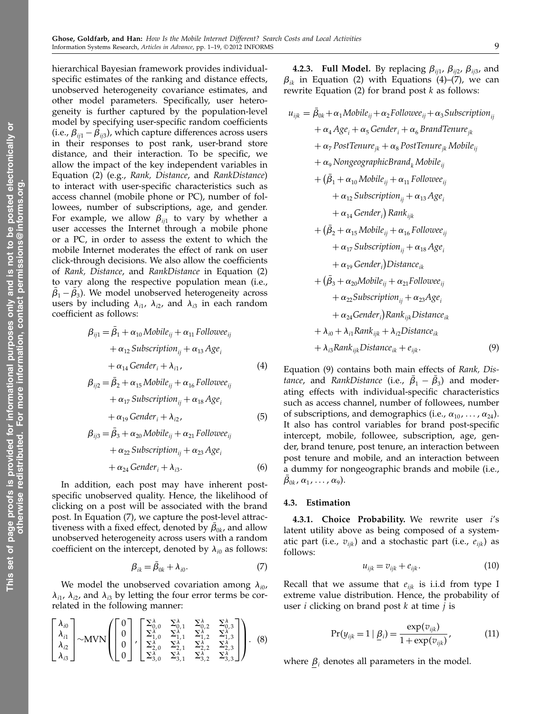hierarchical Bayesian framework provides individualspecific estimates of the ranking and distance effects, unobserved heterogeneity covariance estimates, and other model parameters. Specifically, user heterogeneity is further captured by the population-level model by specifying user-specific random coefficients (i.e.,  $\beta_{ij1}$  –  $\beta_{ij3}$ ), which capture differences across users in their responses to post rank, user-brand store distance, and their interaction. To be specific, we allow the impact of the key independent variables in Equation (2) (e.g., Rank, Distance, and RankDistance) to interact with user-specific characteristics such as access channel (mobile phone or PC), number of followees, number of subscriptions, age, and gender. For example, we allow  $\beta_{ij1}$  to vary by whether a user accesses the Internet through a mobile phone or a PC, in order to assess the extent to which the mobile Internet moderates the effect of rank on user click-through decisions. We also allow the coefficients of Rank, Distance, and RankDistance in Equation (2) to vary along the respective population mean (i.e.,  $\bar{\beta}_1 - \bar{\beta}_3$ ). We model unobserved heterogeneity across users by including  $\lambda_{i1}$ ,  $\lambda_{i2}$ , and  $\lambda_{i3}$  in each random coefficient as follows:

$$
\beta_{ij1} = \bar{\beta}_1 + \alpha_{10} \text{ Mobile}_{ij} + \alpha_{11} \text{ Followee}_{ij} + \alpha_{12} \text{ Subscript}_{ij} + \alpha_{13} \text{ Age}_{i} + \alpha_{14} \text{Gender}_{i} + \lambda_{i1},
$$
\n(4)

$$
\beta_{ij2} = \bar{\beta}_2 + \alpha_{15} \text{ Mobile}_{ij} + \alpha_{16} \text{ Followee}_{ij} \n+ \alpha_{17} \text{ Subscript}_{ij} + \alpha_{18} \text{ Age}_{i} \n+ \alpha_{19} \text{ gender}_{i} + \lambda_{i2},
$$
\n(5)  
\n
$$
\beta_{ij3} = \bar{\beta}_3 + \alpha_{20} \text{ Mobile}_{ij} + \alpha_{21} \text{ Followee}_{ij} \n+ \alpha_{22} \text{ Subscript}_{ij} + \alpha_{23} \text{ Age}_{i}
$$

$$
+\alpha_{24}\text{Gender}_i + \lambda_{i3}.\tag{6}
$$

In addition, each post may have inherent postspecific unobserved quality. Hence, the likelihood of clicking on a post will be associated with the brand post. In Equation (7), we capture the post-level attractiveness with a fixed effect, denoted by  $\bar{\beta}_{0k}$ , and allow unobserved heterogeneity across users with a random coefficient on the intercept, denoted by  $\lambda_{i0}$  as follows:

$$
\beta_{ik} = \bar{\beta}_{0k} + \lambda_{i0}.\tag{7}
$$

We model the unobserved covariation among  $\lambda_{i0}$ ,  $\lambda_{i1}$ ,  $\lambda_{i2}$ , and  $\lambda_{i3}$  by letting the four error terms be correlated in the following manner:

$$
\begin{bmatrix}\n\lambda_{i0} \\
\lambda_{i1} \\
\lambda_{i2} \\
\lambda_{i3}\n\end{bmatrix} \sim \text{MVN}\n\left(\n\begin{bmatrix}\n0 \\
0 \\
0 \\
0 \\
0\n\end{bmatrix},\n\begin{bmatrix}\n\Sigma_{0,0}^{\lambda} & \Sigma_{0,1}^{\lambda} & \Sigma_{0,2}^{\lambda} & \Sigma_{0,3}^{\lambda} \\
\Sigma_{1,0}^{\lambda} & \Sigma_{1,1}^{\lambda} & \Sigma_{1,2}^{\lambda} & \Sigma_{1,3}^{\lambda} \\
\Sigma_{2,0}^{\lambda} & \Sigma_{2,1}^{\lambda} & \Sigma_{2,2}^{\lambda} & \Sigma_{2,3}^{\lambda} \\
\Sigma_{3,0}^{\lambda} & \Sigma_{3,1}^{\lambda} & \Sigma_{3,2}^{\lambda} & \Sigma_{3,3}^{\lambda}\n\end{bmatrix}\n\right).
$$
\n(8)

**4.2.3. Full Model.** By replacing  $\beta_{ij1}$ ,  $\beta_{ij2}$ ,  $\beta_{ij3}$ , and  $\beta_{ik}$  in Equation (2) with Equations (4)–(7), we can rewrite Equation (2) for brand post  $k$  as follows:

$$
u_{ijk} = \bar{\beta}_{0k} + \alpha_1 Mobile_{ij} + \alpha_2 Followee_{ij} + \alpha_3 Subscripting + \alpha_4 Age_i + \alpha_5 Gender_i + \alpha_6 BrandTenure_{jk} + \alpha_7 PostTenure_{jk} + \alpha_8 PostTenure_{jk} Mobile_{ij} + \alpha_9 NoneeographicBrand_k Mobile_{ij} + (\bar{\beta}_1 + \alpha_{10 Mobile_{ij} + \alpha_{11} Followee_{ij} + \alpha_{12 Subscripting_{ij} + \alpha_{13} Age_i + \alpha_{14} Gender_i) Rank_{ijk} + (\bar{\beta}_2 + \alpha_{15} Mobile_{ij} + \alpha_{16} Followee_{ij} + \alpha_{17} Subscripting_i + \alpha_{18} Age_i + \alpha_{19} Gender_i) Distance_{ik} + (\bar{\beta}_3 + \alpha_{20} Mobile_{ij} + \alpha_{21} Followee_{ij} + \alpha_{22} Subscripting_i + \alpha_{23} Age_i + \alpha_{22} Subscripting_i + \alpha_{23} Age_i + \alpha_{24} Gender_i) Rank_{ijk} Distance_{ik} + \lambda_{i0} + \lambda_{i1} Rank_{ijk} Distance_{ik} + \lambda_{i3} Rank_{ijk} Distance_{ik} + \lambda_{i2} Distance_{ik}
$$
\n(9)

Equation (9) contains both main effects of Rank, Distance, and RankDistance (i.e.,  $\bar{\beta}_1-\bar{\beta}_3$ ) and moderating effects with individual-specific characteristics such as access channel, number of followees, number of subscriptions, and demographics (i.e.,  $\alpha_{10}, \ldots, \alpha_{24}$ ). It also has control variables for brand post-specific intercept, mobile, followee, subscription, age, gender, brand tenure, post tenure, an interaction between post tenure and mobile, and an interaction between a dummy for nongeographic brands and mobile (i.e.,  $\bar{\beta}_{0k}$  ,  $\alpha_1$  ,  $\ldots$  ,  $\alpha_9$ ).

## 4.3. Estimation

4.3.1. Choice Probability. We rewrite user  $i$ 's latent utility above as being composed of a systematic part (i.e.,  $v_{ijk}$ ) and a stochastic part (i.e.,  $e_{ijk}$ ) as follows:

$$
u_{ijk} = v_{ijk} + e_{ijk}.\tag{10}
$$

Recall that we assume that  $e_{ijk}$  is i.i.d from type I extreme value distribution. Hence, the probability of user *i* clicking on brand post  $k$  at time  $j$  is

$$
Pr(y_{ijk} = 1 | \underline{\beta}_i) = \frac{\exp(v_{ijk})}{1 + \exp(v_{ijk})},
$$
 (11)

where  $\beta_i$  denotes all parameters in the model.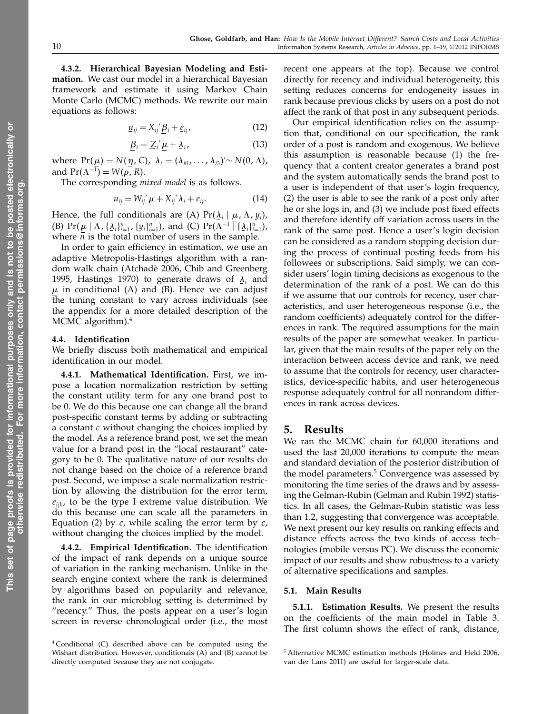4.3.2. Hierarchical Bayesian Modeling and Estimation. We cast our model in a hierarchical Bayesian framework and estimate it using Markov Chain Monte Carlo (MCMC) methods. We rewrite our main equations as follows:

$$
\underline{u}_{ij} = X_{ij}' \underline{\beta}_i + \underline{e}_{ij}, \qquad (12)
$$

$$
\underline{\beta}_i = \underline{Z}_i' \underline{\mu} + \underline{\lambda}_i,\tag{13}
$$

where  $Pr(\mu) = N(\eta, C)$ ,  $\lambda_i = (\lambda_{i0}, \dots, \lambda_{i3})' \sim N(0, \Lambda)$ , and  $Pr(\Lambda^{-1}) = W(\rho, R)$ .

The corresponding *mixed model* is as follows.

$$
\underline{u}_{ij} = W_{ij}' \underline{\mu} + X_{ij}' \underline{\lambda}_i + \underline{e}_{ij}.
$$
 (14)

Hence, the full conditionals are (A)  $Pr(\underline{\lambda}_i \mid \underline{\mu}, \Lambda, y_i)$ , (B)  $Pr(\underline{\mu} | \Lambda, {\{\underline{\lambda}}_i\}_{i=1}^n, {y_i}\}_{i=1}^n)$ , and (C)  $Pr(\Lambda^{-1} | {\{\underline{\lambda}}_i\}_{i=1}^n)$ , where  $\overline{n}$  is the total number of users in the sample.

In order to gain efficiency in estimation, we use an adaptive Metropolis-Hastings algorithm with a random walk chain (Atchadè 2006, Chib and Greenberg 1995, Hastings 1970) to generate draws of  $\lambda_i$  and  $\mu$  in conditional (A) and (B). Hence we can adjust the tuning constant to vary across individuals (see the appendix for a more detailed description of the MCMC algorithm).<sup>4</sup>

### 4.4. Identification

We briefly discuss both mathematical and empirical identification in our model.

4.4.1. Mathematical Identification. First, we impose a location normalization restriction by setting the constant utility term for any one brand post to be 0. We do this because one can change all the brand post-specific constant terms by adding or subtracting a constant  $c$  without changing the choices implied by the model. As a reference brand post, we set the mean value for a brand post in the "local restaurant" category to be 0. The qualitative nature of our results do not change based on the choice of a reference brand post. Second, we impose a scale normalization restriction by allowing the distribution for the error term,  $e_{ijk}$ , to be the type I extreme value distribution. We do this because one can scale all the parameters in Equation (2) by  $c$ , while scaling the error term by  $c$ , without changing the choices implied by the model.

4.4.2. Empirical Identification. The identification of the impact of rank depends on a unique source of variation in the ranking mechanism. Unlike in the search engine context where the rank is determined by algorithms based on popularity and relevance, the rank in our microblog setting is determined by "recency." Thus, the posts appear on a user's login screen in reverse chronological order (i.e., the most recent one appears at the top). Because we control directly for recency and individual heterogeneity, this setting reduces concerns for endogeneity issues in rank because previous clicks by users on a post do not affect the rank of that post in any subsequent periods.

Our empirical identification relies on the assumption that, conditional on our specification, the rank order of a post is random and exogenous. We believe this assumption is reasonable because (1) the frequency that a content creator generates a brand post and the system automatically sends the brand post to a user is independent of that user's login frequency, (2) the user is able to see the rank of a post only after he or she logs in, and (3) we include post fixed effects and therefore identify off variation across users in the rank of the same post. Hence a user's login decision can be considered as a random stopping decision during the process of continual posting feeds from his followees or subscriptions. Said simply, we can consider users' login timing decisions as exogenous to the determination of the rank of a post. We can do this if we assume that our controls for recency, user characteristics, and user heterogeneous response (i.e., the random coefficients) adequately control for the differences in rank. The required assumptions for the main results of the paper are somewhat weaker. In particular, given that the main results of the paper rely on the interaction between access device and rank, we need to assume that the controls for recency, user characteristics, device-specific habits, and user heterogeneous response adequately control for all nonrandom differences in rank across devices.

# 5. Results

We ran the MCMC chain for 60,000 iterations and used the last 20,000 iterations to compute the mean and standard deviation of the posterior distribution of the model parameters. $5$  Convergence was assessed by monitoring the time series of the draws and by assessing the Gelman-Rubin (Gelman and Rubin 1992) statistics. In all cases, the Gelman-Rubin statistic was less than 1.2, suggesting that convergence was acceptable. We next present our key results on ranking effects and distance effects across the two kinds of access technologies (mobile versus PC). We discuss the economic impact of our results and show robustness to a variety of alternative specifications and samples.

## 5.1. Main Results

5.1.1. Estimation Results. We present the results on the coefficients of the main model in Table 3. The first column shows the effect of rank, distance,

<sup>4</sup> Conditional (C) described above can be computed using the Wishart distribution. However, conditionals (A) and (B) cannot be directly computed because they are not conjugate.

<sup>5</sup> Alternative MCMC estimation methods (Holmes and Held 2006, van der Lans 2011) are useful for larger-scale data.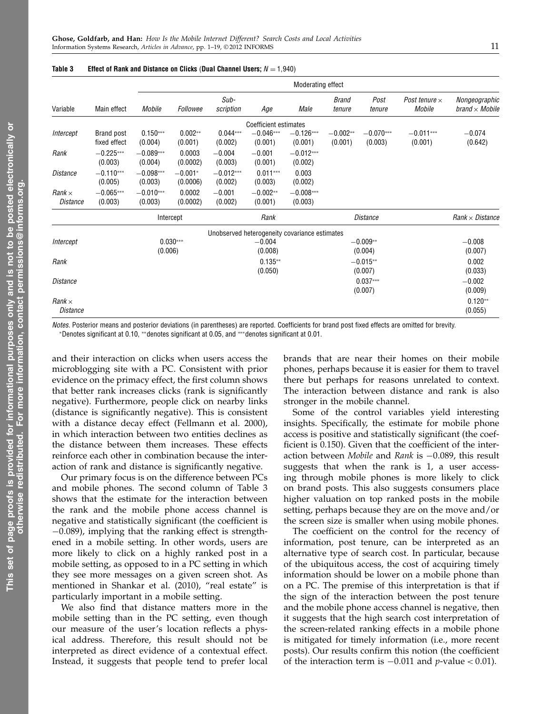|                                  |                                   |                        | Moderating effect     |                        |                                               |                        |                        |                        |                                |                                        |  |  |
|----------------------------------|-----------------------------------|------------------------|-----------------------|------------------------|-----------------------------------------------|------------------------|------------------------|------------------------|--------------------------------|----------------------------------------|--|--|
| Variable                         | Main effect                       | Mobile                 | Followee              | Sub-<br>scription      | Age                                           | Male                   | <b>Brand</b><br>tenure | Post<br>tenure         | Post tenure $\times$<br>Mobile | Nongeographic<br>brand $\times$ Mobile |  |  |
|                                  |                                   |                        |                       |                        | <b>Coefficient estimates</b>                  |                        |                        |                        |                                |                                        |  |  |
| Intercept                        | <b>Brand post</b><br>fixed effect | $0.150***$<br>(0.004)  | $0.002**$<br>(0.001)  | $0.044***$<br>(0.002)  | $-0.046***$<br>(0.001)                        | $-0.126***$<br>(0.001) | $-0.002**$<br>(0.001)  | $-0.070***$<br>(0.003) | $-0.011***$<br>(0.001)         | $-0.074$<br>(0.642)                    |  |  |
| Rank                             | $-0.225***$<br>(0.003)            | $-0.089***$<br>(0.004) | 0.0003<br>(0.0002)    | $-0.004$<br>(0.003)    | $-0.001$<br>(0.001)                           | $-0.012***$<br>(0.002) |                        |                        |                                |                                        |  |  |
| <b>Distance</b>                  | $-0.110***$<br>(0.005)            | $-0.098***$<br>(0.003) | $-0.001*$<br>(0.0006) | $-0.012***$<br>(0.002) | $0.011***$<br>(0.003)                         | 0.003<br>(0.002)       |                        |                        |                                |                                        |  |  |
| $Rank \times$<br><b>Distance</b> | $-0.065***$<br>(0.003)            | $-0.010***$<br>(0.003) | 0.0002<br>(0.0002)    | $-0.001$<br>(0.002)    | $-0.002**$<br>(0.001)                         | $-0.008***$<br>(0.003) |                        |                        |                                |                                        |  |  |
|                                  |                                   | Intercept              |                       |                        | Rank                                          |                        |                        | <b>Distance</b>        |                                | $Rank \times Distance$                 |  |  |
|                                  |                                   |                        |                       |                        | Unobserved heterogeneity covariance estimates |                        |                        |                        |                                |                                        |  |  |
| Intercept                        |                                   | (0.006)                | $0.030***$            |                        | $-0.004$<br>(0.008)                           |                        |                        | $-0.009**$<br>(0.004)  |                                | $-0.008$<br>(0.007)                    |  |  |
| Rank                             |                                   |                        |                       |                        | $0.135**$<br>(0.050)                          |                        |                        | $-0.015**$<br>(0.007)  |                                | 0.002<br>(0.033)                       |  |  |
| <b>Distance</b>                  |                                   |                        |                       |                        |                                               |                        |                        | $0.037***$<br>(0.007)  |                                | $-0.002$<br>(0.009)                    |  |  |
| $Rank \times$<br><b>Distance</b> |                                   |                        |                       |                        |                                               |                        |                        |                        |                                | $0.120**$<br>(0.055)                   |  |  |

#### Table 3 Effect of Rank and Distance on Clicks (Dual Channel Users;  $N = 1,940$ )

Notes. Posterior means and posterior deviations (in parentheses) are reported. Coefficients for brand post fixed effects are omitted for brevity. <sup>∗</sup>Denotes significant at 0.10, ∗∗denotes significant at 0.05, and ∗∗∗denotes significant at 0.01.

and their interaction on clicks when users access the microblogging site with a PC. Consistent with prior evidence on the primacy effect, the first column shows that better rank increases clicks (rank is significantly negative). Furthermore, people click on nearby links (distance is significantly negative). This is consistent with a distance decay effect (Fellmann et al. 2000), in which interaction between two entities declines as the distance between them increases. These effects reinforce each other in combination because the interaction of rank and distance is significantly negative.

Our primary focus is on the difference between PCs and mobile phones. The second column of Table 3 shows that the estimate for the interaction between the rank and the mobile phone access channel is negative and statistically significant (the coefficient is −00089), implying that the ranking effect is strengthened in a mobile setting. In other words, users are more likely to click on a highly ranked post in a mobile setting, as opposed to in a PC setting in which they see more messages on a given screen shot. As mentioned in Shankar et al. (2010), "real estate" is particularly important in a mobile setting.

We also find that distance matters more in the mobile setting than in the PC setting, even though our measure of the user's location reflects a physical address. Therefore, this result should not be interpreted as direct evidence of a contextual effect. Instead, it suggests that people tend to prefer local brands that are near their homes on their mobile phones, perhaps because it is easier for them to travel there but perhaps for reasons unrelated to context. The interaction between distance and rank is also stronger in the mobile channel.

Some of the control variables yield interesting insights. Specifically, the estimate for mobile phone access is positive and statistically significant (the coefficient is 0.150). Given that the coefficient of the interaction between Mobile and Rank is −0.089, this result suggests that when the rank is 1, a user accessing through mobile phones is more likely to click on brand posts. This also suggests consumers place higher valuation on top ranked posts in the mobile setting, perhaps because they are on the move and/or the screen size is smaller when using mobile phones.

The coefficient on the control for the recency of information, post tenure, can be interpreted as an alternative type of search cost. In particular, because of the ubiquitous access, the cost of acquiring timely information should be lower on a mobile phone than on a PC. The premise of this interpretation is that if the sign of the interaction between the post tenure and the mobile phone access channel is negative, then it suggests that the high search cost interpretation of the screen-related ranking effects in a mobile phone is mitigated for timely information (i.e., more recent posts). Our results confirm this notion (the coefficient of the interaction term is  $-0.011$  and *p*-value < 0.01).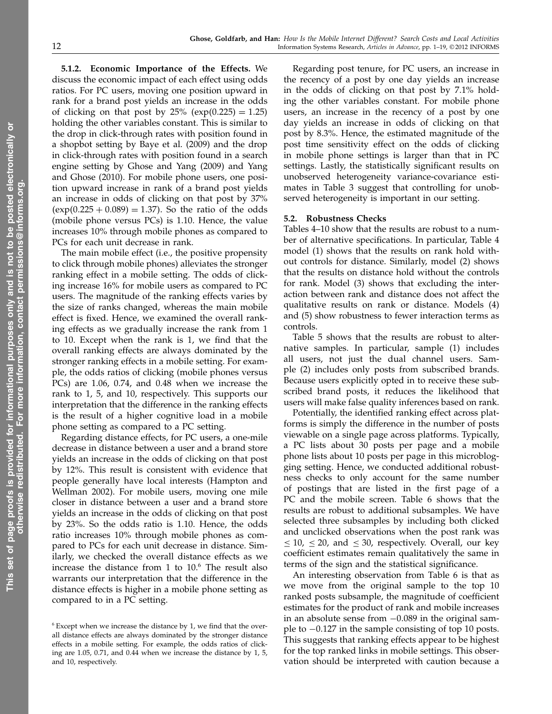5.1.2. Economic Importance of the Effects. We discuss the economic impact of each effect using odds ratios. For PC users, moving one position upward in rank for a brand post yields an increase in the odds of clicking on that post by  $25\%$  (exp(0.225) = 1.25) holding the other variables constant. This is similar to the drop in click-through rates with position found in a shopbot setting by Baye et al. (2009) and the drop in click-through rates with position found in a search engine setting by Ghose and Yang (2009) and Yang and Ghose (2010). For mobile phone users, one position upward increase in rank of a brand post yields an increase in odds of clicking on that post by 37%  $(exp(0.225 + 0.089) = 1.37)$ . So the ratio of the odds (mobile phone versus PCs) is 1.10. Hence, the value increases 10% through mobile phones as compared to PCs for each unit decrease in rank.

The main mobile effect (i.e., the positive propensity to click through mobile phones) alleviates the stronger ranking effect in a mobile setting. The odds of clicking increase 16% for mobile users as compared to PC users. The magnitude of the ranking effects varies by the size of ranks changed, whereas the main mobile effect is fixed. Hence, we examined the overall ranking effects as we gradually increase the rank from 1 to 10. Except when the rank is 1, we find that the overall ranking effects are always dominated by the stronger ranking effects in a mobile setting. For example, the odds ratios of clicking (mobile phones versus PCs) are 1.06, 0.74, and 0.48 when we increase the rank to 1, 5, and 10, respectively. This supports our interpretation that the difference in the ranking effects is the result of a higher cognitive load in a mobile phone setting as compared to a PC setting.

Regarding distance effects, for PC users, a one-mile decrease in distance between a user and a brand store yields an increase in the odds of clicking on that post by 12%. This result is consistent with evidence that people generally have local interests (Hampton and Wellman 2002). For mobile users, moving one mile closer in distance between a user and a brand store yields an increase in the odds of clicking on that post by 23%. So the odds ratio is 1.10. Hence, the odds ratio increases 10% through mobile phones as compared to PCs for each unit decrease in distance. Similarly, we checked the overall distance effects as we increase the distance from  $1$  to  $10<sup>6</sup>$  The result also warrants our interpretation that the difference in the distance effects is higher in a mobile phone setting as compared to in a PC setting.

Regarding post tenure, for PC users, an increase in the recency of a post by one day yields an increase in the odds of clicking on that post by 7.1% holding the other variables constant. For mobile phone users, an increase in the recency of a post by one day yields an increase in odds of clicking on that post by 8.3%. Hence, the estimated magnitude of the post time sensitivity effect on the odds of clicking in mobile phone settings is larger than that in PC settings. Lastly, the statistically significant results on unobserved heterogeneity variance-covariance estimates in Table 3 suggest that controlling for unobserved heterogeneity is important in our setting.

## 5.2. Robustness Checks

Tables 4–10 show that the results are robust to a number of alternative specifications. In particular, Table 4 model (1) shows that the results on rank hold without controls for distance. Similarly, model (2) shows that the results on distance hold without the controls for rank. Model (3) shows that excluding the interaction between rank and distance does not affect the qualitative results on rank or distance. Models (4) and (5) show robustness to fewer interaction terms as controls.

Table 5 shows that the results are robust to alternative samples. In particular, sample (1) includes all users, not just the dual channel users. Sample (2) includes only posts from subscribed brands. Because users explicitly opted in to receive these subscribed brand posts, it reduces the likelihood that users will make false quality inferences based on rank.

Potentially, the identified ranking effect across platforms is simply the difference in the number of posts viewable on a single page across platforms. Typically, a PC lists about 30 posts per page and a mobile phone lists about 10 posts per page in this microblogging setting. Hence, we conducted additional robustness checks to only account for the same number of postings that are listed in the first page of a PC and the mobile screen. Table 6 shows that the results are robust to additional subsamples. We have selected three subsamples by including both clicked and unclicked observations when the post rank was  $\leq$  10,  $\leq$  20, and  $\leq$  30, respectively. Overall, our key coefficient estimates remain qualitatively the same in terms of the sign and the statistical significance.

An interesting observation from Table 6 is that as we move from the original sample to the top 10 ranked posts subsample, the magnitude of coefficient estimates for the product of rank and mobile increases in an absolute sense from −00089 in the original sample to −0.127 in the sample consisting of top 10 posts. This suggests that ranking effects appear to be highest for the top ranked links in mobile settings. This observation should be interpreted with caution because a

 $6$  Except when we increase the distance by 1, we find that the overall distance effects are always dominated by the stronger distance effects in a mobile setting. For example, the odds ratios of clicking are 1.05, 0.71, and 0.44 when we increase the distance by 1, 5, and 10, respectively.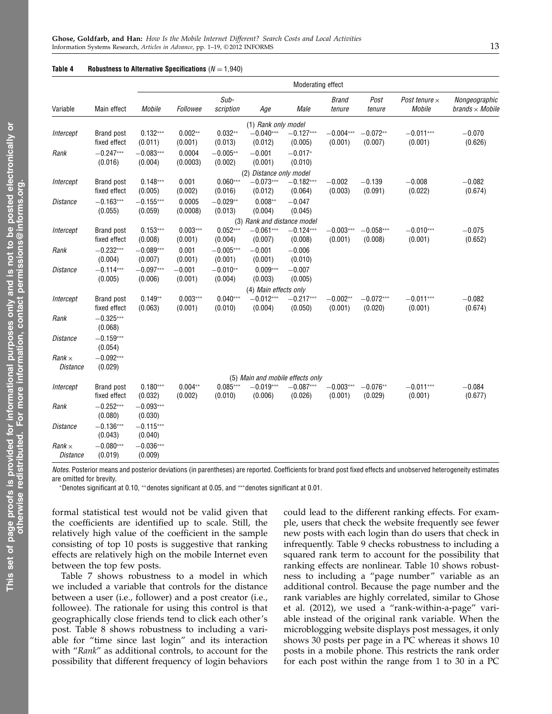#### Table 4 Robustness to Alternative Specifications ( $N = 1,940$ )

|                                  |                                   |                        | <b>Moderating effect</b> |                        |                                                       |                        |                        |                        |                                |                                         |  |  |  |  |
|----------------------------------|-----------------------------------|------------------------|--------------------------|------------------------|-------------------------------------------------------|------------------------|------------------------|------------------------|--------------------------------|-----------------------------------------|--|--|--|--|
| Variable                         | Main effect                       | Mobile                 | Followee                 | Sub-<br>scription      | Age                                                   | Male                   | <b>Brand</b><br>tenure | Post<br>tenure         | Post tenure $\times$<br>Mobile | Nongeographic<br>brands $\times$ Mobile |  |  |  |  |
| Intercept                        | <b>Brand post</b><br>fixed effect | $0.132***$<br>(0.011)  | $0.002**$<br>(0.001)     | $0.032**$<br>(0.013)   | (1) Rank only model<br>$-0.040***$<br>(0.012)         | $-0.127***$<br>(0.005) | $-0.004***$<br>(0.001) | $-0.072**$<br>(0.007)  | $-0.011***$<br>(0.001)         | $-0.070$<br>(0.626)                     |  |  |  |  |
| Rank                             | $-0.247***$<br>(0.016)            | $-0.083***$<br>(0.004) | 0.0004<br>(0.0003)       | $-0.005**$<br>(0.002)  | $-0.001$<br>(0.001)                                   | $-0.017*$<br>(0.010)   |                        |                        |                                |                                         |  |  |  |  |
| Intercept                        | <b>Brand post</b><br>fixed effect | $0.148***$<br>(0.005)  | 0.001<br>(0.002)         | $0.060***$<br>(0.016)  | (2) Distance only model<br>$-0.073***$<br>(0.012)     | $-0.182***$<br>(0.064) | $-0.002$<br>(0.003)    | $-0.139$<br>(0.091)    | $-0.008$<br>(0.022)            | $-0.082$<br>(0.674)                     |  |  |  |  |
| <b>Distance</b>                  | $-0.163***$<br>(0.055)            | $-0.155***$<br>(0.059) | 0.0005<br>(0.0008)       | $-0.029**$<br>(0.013)  | $0.008**$<br>(0.004)                                  | $-0.047$<br>(0.045)    |                        |                        |                                |                                         |  |  |  |  |
| Intercept                        | <b>Brand post</b><br>fixed effect | $0.153***$<br>(0.008)  | $0.003***$<br>(0.001)    | $0.052***$<br>(0.004)  | (3) Rank and distance model<br>$-0.061***$<br>(0.007) | $-0.124***$<br>(0.008) | $-0.003***$<br>(0.001) | $-0.058***$<br>(0.008) | $-0.010***$<br>(0.001)         | $-0.075$<br>(0.652)                     |  |  |  |  |
| Rank                             | $-0.232***$<br>(0.004)            | $-0.089***$<br>(0.007) | 0.001<br>(0.001)         | $-0.005***$<br>(0.001) | $-0.001$<br>(0.001)                                   | $-0.006$<br>(0.010)    |                        |                        |                                |                                         |  |  |  |  |
| <b>Distance</b>                  | $-0.114***$<br>(0.005)            | $-0.097***$<br>(0.006) | $-0.001$<br>(0.001)      | $-0.010**$<br>(0.004)  | $0.009***$<br>(0.003)                                 | $-0.007$<br>(0.005)    |                        |                        |                                |                                         |  |  |  |  |
|                                  |                                   |                        |                          |                        | (4) Main effects only                                 |                        |                        |                        |                                |                                         |  |  |  |  |
| Intercept                        | <b>Brand post</b><br>fixed effect | $0.149**$<br>(0.063)   | $0.003***$<br>(0.001)    | $0.040***$<br>(0.010)  | $-0.012***$<br>(0.004)                                | $-0.217***$<br>(0.050) | $-0.002**$<br>(0.001)  | $-0.072***$<br>(0.020) | $-0.011***$<br>(0.001)         | $-0.082$<br>(0.674)                     |  |  |  |  |
| Rank                             | $-0.325***$<br>(0.068)            |                        |                          |                        |                                                       |                        |                        |                        |                                |                                         |  |  |  |  |
| <b>Distance</b>                  | $-0.159***$<br>(0.054)            |                        |                          |                        |                                                       |                        |                        |                        |                                |                                         |  |  |  |  |
| $Rank \times$<br><b>Distance</b> | $-0.092***$<br>(0.029)            |                        |                          |                        |                                                       |                        |                        |                        |                                |                                         |  |  |  |  |
|                                  |                                   |                        |                          |                        | (5) Main and mobile effects only                      |                        |                        |                        |                                |                                         |  |  |  |  |
| Intercept                        | <b>Brand post</b><br>fixed effect | $0.180***$<br>(0.032)  | $0.004**$<br>(0.002)     | $0.085***$<br>(0.010)  | $-0.019***$<br>(0.006)                                | $-0.087***$<br>(0.026) | $-0.003***$<br>(0.001) | $-0.076**$<br>(0.029)  | $-0.011***$<br>(0.001)         | $-0.084$<br>(0.677)                     |  |  |  |  |
| Rank                             | $-0.252***$<br>(0.080)            | $-0.093***$<br>(0.030) |                          |                        |                                                       |                        |                        |                        |                                |                                         |  |  |  |  |
| <b>Distance</b>                  | $-0.136***$<br>(0.043)            | $-0.115***$<br>(0.040) |                          |                        |                                                       |                        |                        |                        |                                |                                         |  |  |  |  |
| $Rank \times$<br><b>Distance</b> | $-0.080***$<br>(0.019)            | $-0.036***$<br>(0.009) |                          |                        |                                                       |                        |                        |                        |                                |                                         |  |  |  |  |

Notes. Posterior means and posterior deviations (in parentheses) are reported. Coefficients for brand post fixed effects and unobserved heterogeneity estimates are omitted for brevity.

<sup>∗</sup>Denotes significant at 0.10, ∗∗denotes significant at 0.05, and ∗∗∗denotes significant at 0.01.

formal statistical test would not be valid given that the coefficients are identified up to scale. Still, the relatively high value of the coefficient in the sample consisting of top 10 posts is suggestive that ranking effects are relatively high on the mobile Internet even between the top few posts.

Table 7 shows robustness to a model in which we included a variable that controls for the distance between a user (i.e., follower) and a post creator (i.e., followee). The rationale for using this control is that geographically close friends tend to click each other's post. Table 8 shows robustness to including a variable for "time since last login" and its interaction with "Rank" as additional controls, to account for the possibility that different frequency of login behaviors could lead to the different ranking effects. For example, users that check the website frequently see fewer new posts with each login than do users that check in infrequently. Table 9 checks robustness to including a squared rank term to account for the possibility that ranking effects are nonlinear. Table 10 shows robustness to including a "page number" variable as an additional control. Because the page number and the rank variables are highly correlated, similar to Ghose et al. (2012), we used a "rank-within-a-page" variable instead of the original rank variable. When the microblogging website displays post messages, it only shows 30 posts per page in a PC whereas it shows 10 posts in a mobile phone. This restricts the rank order for each post within the range from 1 to 30 in a PC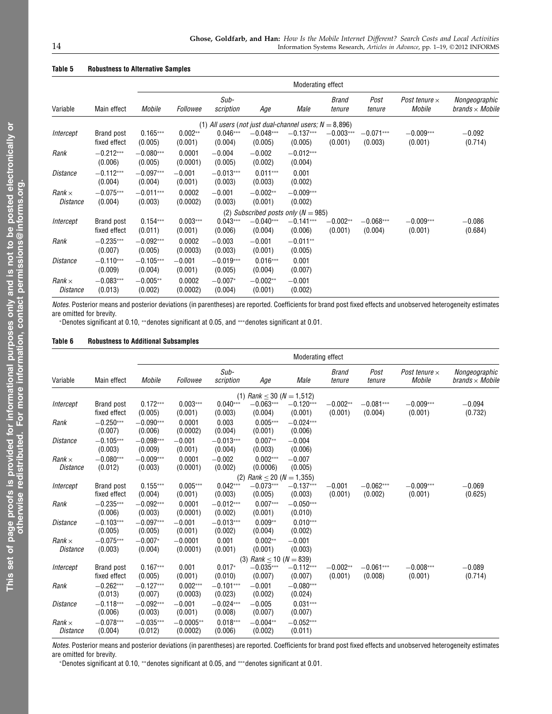| Table 5 | <b>Robustness to Alternative Samples</b> |  |  |
|---------|------------------------------------------|--|--|
|---------|------------------------------------------|--|--|

|                                  |                            |                        |                       |                        |                        | Moderating effect                                         |                        |                        |                                |                                         |
|----------------------------------|----------------------------|------------------------|-----------------------|------------------------|------------------------|-----------------------------------------------------------|------------------------|------------------------|--------------------------------|-----------------------------------------|
| Variable                         | Main effect                | Mobile                 | Followee              | Sub-<br>scription      | Age                    | Male                                                      | <b>Brand</b><br>tenure | Post<br>tenure         | Post tenure $\times$<br>Mobile | Nongeographic<br>brands $\times$ Mobile |
|                                  |                            |                        |                       |                        |                        | (1) All users (not just dual-channel users; $N = 8,896$ ) |                        |                        |                                |                                         |
| Intercept                        | Brand post<br>fixed effect | $0.165***$<br>(0.005)  | $0.002**$<br>(0.001)  | $0.046***$<br>(0.004)  | $-0.048***$<br>(0.005) | $-0.137***$<br>(0.005)                                    | $-0.003***$<br>(0.001) | $-0.071***$<br>(0.003) | $-0.009***$<br>(0.001)         | $-0.092$<br>(0.714)                     |
| Rank                             | $-0.212***$<br>(0.006)     | $-0.080***$<br>(0.005) | 0.0001<br>(0.0001)    | $-0.004$<br>(0.005)    | $-0.002$<br>(0.002)    | $-0.012***$<br>(0.004)                                    |                        |                        |                                |                                         |
| <i>Distance</i>                  | $-0.112***$<br>(0.004)     | $-0.097***$<br>(0.004) | $-0.001$<br>(0.001)   | $-0.013***$<br>(0.003) | $0.011***$<br>(0.003)  | 0.001<br>(0.002)                                          |                        |                        |                                |                                         |
| $Rank \times$<br><i>Distance</i> | $-0.075***$<br>(0.004)     | $-0.011***$<br>(0.003) | 0.0002<br>(0.0002)    | $-0.001$<br>(0.003)    | $-0.002**$<br>(0.001)  | $-0.009***$<br>(0.002)                                    |                        |                        |                                |                                         |
|                                  |                            |                        |                       |                        |                        | (2) Subscribed posts only ( $N = 985$ )                   |                        |                        |                                |                                         |
| Intercept                        | Brand post<br>fixed effect | $0.154***$<br>(0.011)  | $0.003***$<br>(0.001) | $0.043***$<br>(0.006)  | $-0.040***$<br>(0.004) | $-0.141***$<br>(0.006)                                    | $-0.002**$<br>(0.001)  | $-0.068***$<br>(0.004) | $-0.009***$<br>(0.001)         | $-0.086$<br>(0.684)                     |
| Rank                             | $-0.235***$<br>(0.007)     | $-0.092***$<br>(0.005) | 0.0002<br>(0.0003)    | $-0.003$<br>(0.003)    | $-0.001$<br>(0.001)    | $-0.011**$<br>(0.005)                                     |                        |                        |                                |                                         |
| <i>Distance</i>                  | $-0.110***$<br>(0.009)     | $-0.105***$<br>(0.004) | $-0.001$<br>(0.001)   | $-0.019***$<br>(0.005) | $0.016***$<br>(0.004)  | 0.001<br>(0.007)                                          |                        |                        |                                |                                         |
| $Rank \times$<br><i>Distance</i> | $-0.083***$<br>(0.013)     | $-0.005**$<br>(0.002)  | 0.0002<br>(0.0002)    | $-0.007*$<br>(0.004)   | $-0.002**$<br>(0.001)  | $-0.001$<br>(0.002)                                       |                        |                        |                                |                                         |

Notes. Posterior means and posterior deviations (in parentheses) are reported. Coefficients for brand post fixed effects and unobserved heterogeneity estimates are omitted for brevity.

<sup>∗</sup>Denotes significant at 0.10, ∗∗denotes significant at 0.05, and ∗∗∗denotes significant at 0.01.

## Table 6 Robustness to Additional Subsamples

|                                  |                                   |                        | Moderating effect       |                        |                               |                        |                        |                        |                                |                                         |  |  |  |
|----------------------------------|-----------------------------------|------------------------|-------------------------|------------------------|-------------------------------|------------------------|------------------------|------------------------|--------------------------------|-----------------------------------------|--|--|--|
| Variable                         | Main effect                       | Mobile                 | Followee                | Sub-<br>scription      | Age                           | Male                   | <b>Brand</b><br>tenure | Post<br>tenure         | Post tenure $\times$<br>Mobile | Nongeographic<br>brands $\times$ Mobile |  |  |  |
|                                  |                                   |                        |                         |                        | (1) $Rank \le 30 (N = 1,512)$ |                        |                        |                        |                                |                                         |  |  |  |
| Intercept                        | <b>Brand post</b><br>fixed effect | $0.172***$<br>(0.005)  | $0.003***$<br>(0.001)   | $0.040***$<br>(0.003)  | $-0.063***$<br>(0.004)        | $-0.120***$<br>(0.001) | $-0.002**$<br>(0.001)  | $-0.081***$<br>(0.004) | $-0.009***$<br>(0.001)         | $-0.094$<br>(0.732)                     |  |  |  |
| Rank                             | $-0.250***$<br>(0.007)            | $-0.090***$<br>(0.006) | 0.0001<br>(0.0002)      | 0.003<br>(0.004)       | $0.005***$<br>(0.001)         | $-0.024***$<br>(0.006) |                        |                        |                                |                                         |  |  |  |
| Distance                         | $-0.105***$<br>(0.003)            | $-0.098***$<br>(0.009) | $-0.001$<br>(0.001)     | $-0.013***$<br>(0.004) | $0.007**$<br>(0.003)          | $-0.004$<br>(0.006)    |                        |                        |                                |                                         |  |  |  |
| $Rank \times$<br><i>Distance</i> | $-0.080***$<br>(0.012)            | $-0.009***$<br>(0.003) | 0.0001<br>(0.0001)      | $-0.002$<br>(0.002)    | $0.002***$<br>(0.0006)        | $-0.007$<br>(0.005)    |                        |                        |                                |                                         |  |  |  |
|                                  |                                   |                        |                         |                        | (2) $Rank \le 20 (N = 1,355)$ |                        |                        |                        |                                |                                         |  |  |  |
| Intercept                        | <b>Brand post</b><br>fixed effect | $0.155***$<br>(0.004)  | $0.005***$<br>(0.001)   | $0.042***$<br>(0.003)  | $-0.073***$<br>(0.005)        | $-0.137***$<br>(0.003) | $-0.001$<br>(0.001)    | $-0.062***$<br>(0.002) | $-0.009***$<br>(0.001)         | $-0.069$<br>(0.625)                     |  |  |  |
| Rank                             | $-0.235***$<br>(0.006)            | $-0.092***$<br>(0.003) | 0.0001<br>(0.0001)      | $-0.012***$<br>(0.002) | $0.007***$<br>(0.001)         | $-0.050***$<br>(0.010) |                        |                        |                                |                                         |  |  |  |
| <i>Distance</i>                  | $-0.103***$<br>(0.005)            | $-0.097***$<br>(0.005) | $-0.001$<br>(0.001)     | $-0.013***$<br>(0.002) | $0.009**$<br>(0.004)          | $0.010***$<br>(0.002)  |                        |                        |                                |                                         |  |  |  |
| $Rank \times$<br><b>Distance</b> | $-0.075***$<br>(0.003)            | $-0.007*$<br>(0.004)   | $-0.0001$<br>(0.0001)   | 0.001<br>(0.001)       | $0.002**$<br>(0.001)          | $-0.001$<br>(0.003)    |                        |                        |                                |                                         |  |  |  |
|                                  |                                   |                        |                         |                        | (3) $Rank \le 10 (N = 839)$   |                        |                        |                        |                                |                                         |  |  |  |
| Intercept                        | <b>Brand post</b><br>fixed effect | $0.167***$<br>(0.005)  | 0.001<br>(0.001)        | $0.017*$<br>(0.010)    | $-0.035***$<br>(0.007)        | $-0.112***$<br>(0.007) | $-0.002**$<br>(0.001)  | $-0.061***$<br>(0.008) | $-0.008***$<br>(0.001)         | $-0.089$<br>(0.714)                     |  |  |  |
| Rank                             | $-0.262***$<br>(0.013)            | $-0.127***$<br>(0.007) | $0.002***$<br>(0.0003)  | $-0.101***$<br>(0.023) | $-0.001$<br>(0.002)           | $-0.080***$<br>(0.024) |                        |                        |                                |                                         |  |  |  |
| <b>Distance</b>                  | $-0.118***$<br>(0.006)            | $-0.092***$<br>(0.003) | $-0.001$<br>(0.001)     | $-0.024***$<br>(0.008) | $-0.005$<br>(0.007)           | $0.031***$<br>(0.007)  |                        |                        |                                |                                         |  |  |  |
| Rank $\times$<br><i>Distance</i> | $-0.078***$<br>(0.004)            | $-0.035***$<br>(0.012) | $-0.0005**$<br>(0.0002) | $0.018***$<br>(0.006)  | $-0.004**$<br>(0.002)         | $-0.052***$<br>(0.011) |                        |                        |                                |                                         |  |  |  |

Notes. Posterior means and posterior deviations (in parentheses) are reported. Coefficients for brand post fixed effects and unobserved heterogeneity estimates are omitted for brevity.

<sup>∗</sup>Denotes significant at 0.10, ∗∗denotes significant at 0.05, and ∗∗∗denotes significant at 0.01.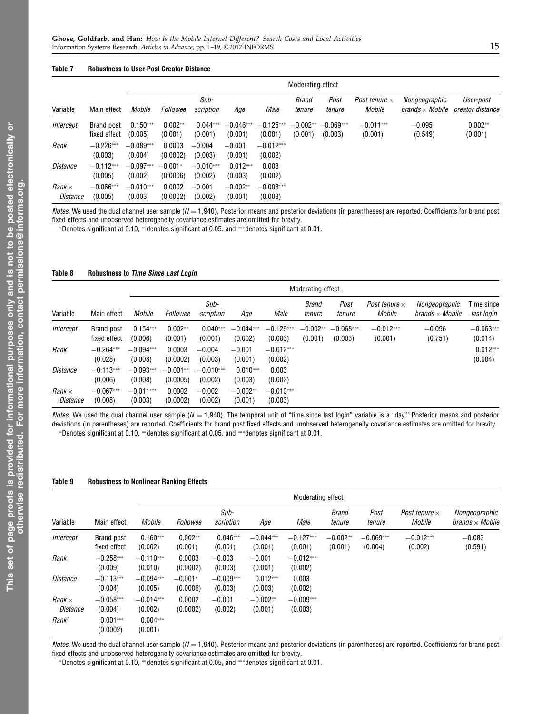## Table 7 Robustness to User-Post Creator Distance

|                           | Moderating effect          |                        |                       |                        |                        |                        |                        |                                |                                |                                         |                               |  |  |  |
|---------------------------|----------------------------|------------------------|-----------------------|------------------------|------------------------|------------------------|------------------------|--------------------------------|--------------------------------|-----------------------------------------|-------------------------------|--|--|--|
| Variable                  | Main effect                | Mobile                 | Followee              | Sub-<br>scription      | Age                    | Male                   | <b>Brand</b><br>tenure | Post<br>tenure                 | Post tenure $\times$<br>Mobile | Nongeographic<br>brands $\times$ Mobile | User-post<br>creator distance |  |  |  |
| Intercept                 | Brand post<br>fixed effect | $0.150***$<br>(0.005)  | $0.002**$<br>(0.001)  | $0.044***$<br>(0.001)  | $-0.046***$<br>(0.001) | $-0.125***$<br>(0.001) | (0.001)                | $-0.002**-0.069***$<br>(0.003) | $-0.011***$<br>(0.001)         | $-0.095$<br>(0.549)                     | $0.002**$<br>(0.001)          |  |  |  |
| Rank                      | $-0.226***$<br>(0.003)     | $-0.089***$<br>(0.004) | 0.0003<br>(0.0002)    | $-0.004$<br>(0.003)    | $-0.001$<br>(0.001)    | $-0.012***$<br>(0.002) |                        |                                |                                |                                         |                               |  |  |  |
| Distance                  | $-0.112***$<br>(0.005)     | $-0.097***$<br>(0.002) | $-0.001*$<br>(0.0006) | $-0.010***$<br>(0.002) | $0.012***$<br>(0.003)  | 0.003<br>(0.002)       |                        |                                |                                |                                         |                               |  |  |  |
| $Rank \times$<br>Distance | $-0.066***$<br>(0.005)     | $-0.010***$<br>(0.003) | 0.0002<br>(0.0002)    | $-0.001$<br>(0.002)    | $-0.002**$<br>(0.001)  | $-0.008***$<br>(0.003) |                        |                                |                                |                                         |                               |  |  |  |

Notes. We used the dual channel user sample ( $N = 1,940$ ). Posterior means and posterior deviations (in parentheses) are reported. Coefficients for brand post fixed effects and unobserved heterogeneity covariance estimates are omitted for brevity.

<sup>∗</sup>Denotes significant at 0.10, ∗∗denotes significant at 0.05, and ∗∗∗denotes significant at 0.01.

### Table 8 Robustness to Time Since Last Login

|                           |                                   |                        | Moderating effect      |                        |                        |                        |                        |                        |                                |                                         |                          |  |  |
|---------------------------|-----------------------------------|------------------------|------------------------|------------------------|------------------------|------------------------|------------------------|------------------------|--------------------------------|-----------------------------------------|--------------------------|--|--|
| Variable                  | Main effect                       | Mobile                 | Followee               | Sub-<br>scription      | Age                    | Male                   | <b>Brand</b><br>tenure | Post<br>tenure         | Post tenure $\times$<br>Mobile | Nongeographic<br>brands $\times$ Mobile | Time since<br>last login |  |  |
| Intercept                 | <b>Brand post</b><br>fixed effect | $0.154***$<br>(0.006)  | $0.002**$<br>(0.001)   | $0.040***$<br>(0.001)  | $-0.044***$<br>(0.002) | $-0.129***$<br>(0.003) | $-0.002**$<br>(0.001)  | $-0.068***$<br>(0.003) | $-0.012***$<br>(0.001)         | $-0.096$<br>(0.751)                     | $-0.063***$<br>(0.014)   |  |  |
| Rank                      | $-0.264***$<br>(0.028)            | $-0.094***$<br>(0.008) | 0.0003<br>(0.0002)     | $-0.004$<br>(0.003)    | $-0.001$<br>(0.001)    | $-0.012***$<br>(0.002) |                        |                        |                                |                                         | $0.012***$<br>(0.004)    |  |  |
| <i>Distance</i>           | $-0.113***$<br>(0.006)            | $-0.093***$<br>(0.008) | $-0.001**$<br>(0.0005) | $-0.010***$<br>(0.002) | $0.010***$<br>(0.003)  | 0.003<br>(0.002)       |                        |                        |                                |                                         |                          |  |  |
| $Rank \times$<br>Distance | $-0.067***$<br>(0.008)            | $-0.011***$<br>(0.003) | 0.0002<br>(0.0002)     | $-0.002$<br>(0.002)    | $-0.002**$<br>(0.001)  | $-0.010***$<br>(0.003) |                        |                        |                                |                                         |                          |  |  |

Notes. We used the dual channel user sample ( $N = 1,940$ ). The temporal unit of "time since last login" variable is a "day." Posterior means and posterior deviations (in parentheses) are reported. Coefficients for brand post fixed effects and unobserved heterogeneity covariance estimates are omitted for brevity. <sup>∗</sup>Denotes significant at 0.10, ∗∗denotes significant at 0.05, and ∗∗∗denotes significant at 0.01.

## Table 9 Robustness to Nonlinear Ranking Effects

|                                  |                            |                        | Moderating effect     |                        |                        |                        |                        |                        |                                |                                         |  |  |
|----------------------------------|----------------------------|------------------------|-----------------------|------------------------|------------------------|------------------------|------------------------|------------------------|--------------------------------|-----------------------------------------|--|--|
| Variable                         | Main effect                | Mobile                 | Followee              | Sub-<br>scription      | Age                    | Male                   | <b>Brand</b><br>tenure | Post<br>tenure         | Post tenure $\times$<br>Mobile | Nongeographic<br>brands $\times$ Mobile |  |  |
| Intercept                        | Brand post<br>fixed effect | $0.160***$<br>(0.002)  | $0.002**$<br>(0.001)  | $0.046***$<br>(0.001)  | $-0.044***$<br>(0.001) | $-0.127***$<br>(0.001) | $-0.002**$<br>(0.001)  | $-0.069***$<br>(0.004) | $-0.012***$<br>(0.002)         | $-0.083$<br>(0.591)                     |  |  |
| Rank                             | $-0.258***$<br>(0.009)     | $-0.110***$<br>(0.010) | 0.0003<br>(0.0002)    | $-0.003$<br>(0.003)    | $-0.001$<br>(0.001)    | $-0.012***$<br>(0.002) |                        |                        |                                |                                         |  |  |
| <b>Distance</b>                  | $-0.113***$<br>(0.004)     | $-0.094***$<br>(0.005) | $-0.001*$<br>(0.0006) | $-0.009***$<br>(0.003) | $0.012***$<br>(0.003)  | 0.003<br>(0.002)       |                        |                        |                                |                                         |  |  |
| $Rank \times$<br><b>Distance</b> | $-0.058***$<br>(0.004)     | $-0.014***$<br>(0.002) | 0.0002<br>(0.0002)    | $-0.001$<br>(0.002)    | $-0.002**$<br>(0.001)  | $-0.009***$<br>(0.003) |                        |                        |                                |                                         |  |  |
| Rank <sup>2</sup>                | $0.001***$<br>(0.0002)     | $0.004***$<br>(0.001)  |                       |                        |                        |                        |                        |                        |                                |                                         |  |  |

Notes. We used the dual channel user sample ( $N = 1,940$ ). Posterior means and posterior deviations (in parentheses) are reported. Coefficients for brand post fixed effects and unobserved heterogeneity covariance estimates are omitted for brevity.

<sup>∗</sup>Denotes significant at 0.10, ∗∗denotes significant at 0.05, and ∗∗∗denotes significant at 0.01.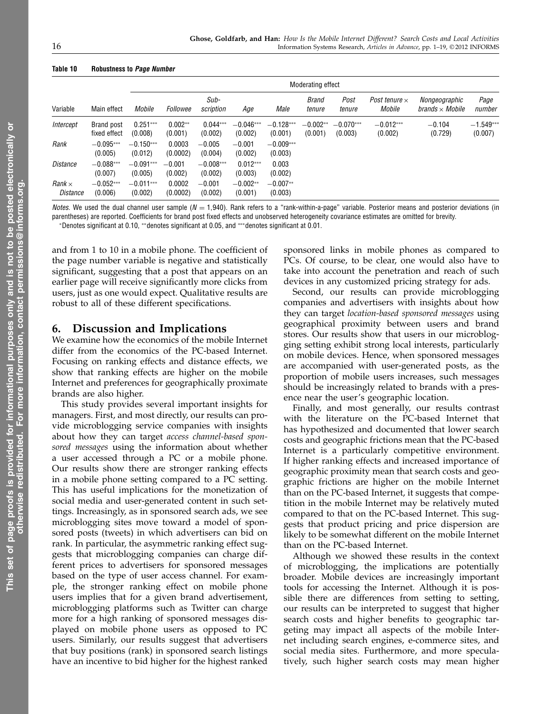|                                  |                                   |                        | Moderating effect    |                        |                        |                        |                        |                        |                                |                                         |                        |  |  |
|----------------------------------|-----------------------------------|------------------------|----------------------|------------------------|------------------------|------------------------|------------------------|------------------------|--------------------------------|-----------------------------------------|------------------------|--|--|
| Variable                         | Main effect                       | Mobile                 | Followee             | Sub-<br>scription      | Age                    | Male                   | <b>Brand</b><br>tenure | Post<br>tenure         | Post tenure $\times$<br>Mobile | Nongeographic<br>brands $\times$ Mobile | Page<br>number         |  |  |
| Intercept                        | <b>Brand post</b><br>fixed effect | $0.251***$<br>(0.008)  | $0.002**$<br>(0.001) | $0.044***$<br>(0.002)  | $-0.046***$<br>(0.002) | $-0.128***$<br>(0.001) | $-0.002**$<br>(0.001)  | $-0.070***$<br>(0.003) | $-0.012***$<br>(0.002)         | $-0.104$<br>(0.729)                     | $-1.549***$<br>(0.007) |  |  |
| Rank                             | $-0.095***$<br>(0.005)            | $-0.150***$<br>(0.012) | 0.0003<br>(0.0002)   | $-0.005$<br>(0.004)    | $-0.001$<br>(0.002)    | $-0.009***$<br>(0.003) |                        |                        |                                |                                         |                        |  |  |
| <i>Distance</i>                  | $-0.088***$<br>(0.007)            | $-0.091***$<br>(0.005) | $-0.001$<br>(0.002)  | $-0.008***$<br>(0.002) | $0.012***$<br>(0.003)  | 0.003<br>(0.002)       |                        |                        |                                |                                         |                        |  |  |
| $Rank \times$<br><i>Distance</i> | $-0.052***$<br>(0.006)            | $-0.011***$<br>(0.002) | 0.0002<br>(0.0002)   | $-0.001$<br>(0.002)    | $-0.002**$<br>(0.001)  | $-0.007**$<br>(0.003)  |                        |                        |                                |                                         |                        |  |  |

#### Table 10 Robustness to Page Number

Notes. We used the dual channel user sample ( $N = 1,940$ ). Rank refers to a "rank-within-a-page" variable. Posterior means and posterior deviations (in parentheses) are reported. Coefficients for brand post fixed effects and unobserved heterogeneity covariance estimates are omitted for brevity. <sup>∗</sup>Denotes significant at 0.10, ∗∗denotes significant at 0.05, and ∗∗∗denotes significant at 0.01.

and from 1 to 10 in a mobile phone. The coefficient of the page number variable is negative and statistically significant, suggesting that a post that appears on an earlier page will receive significantly more clicks from users, just as one would expect. Qualitative results are robust to all of these different specifications.

## 6. Discussion and Implications

We examine how the economics of the mobile Internet differ from the economics of the PC-based Internet. Focusing on ranking effects and distance effects, we show that ranking effects are higher on the mobile Internet and preferences for geographically proximate brands are also higher.

This study provides several important insights for managers. First, and most directly, our results can provide microblogging service companies with insights about how they can target access channel-based sponsored messages using the information about whether a user accessed through a PC or a mobile phone. Our results show there are stronger ranking effects in a mobile phone setting compared to a PC setting. This has useful implications for the monetization of social media and user-generated content in such settings. Increasingly, as in sponsored search ads, we see microblogging sites move toward a model of sponsored posts (tweets) in which advertisers can bid on rank. In particular, the asymmetric ranking effect suggests that microblogging companies can charge different prices to advertisers for sponsored messages based on the type of user access channel. For example, the stronger ranking effect on mobile phone users implies that for a given brand advertisement, microblogging platforms such as Twitter can charge more for a high ranking of sponsored messages displayed on mobile phone users as opposed to PC users. Similarly, our results suggest that advertisers that buy positions (rank) in sponsored search listings have an incentive to bid higher for the highest ranked

sponsored links in mobile phones as compared to PCs. Of course, to be clear, one would also have to take into account the penetration and reach of such devices in any customized pricing strategy for ads.

Second, our results can provide microblogging companies and advertisers with insights about how they can target location-based sponsored messages using geographical proximity between users and brand stores. Our results show that users in our microblogging setting exhibit strong local interests, particularly on mobile devices. Hence, when sponsored messages are accompanied with user-generated posts, as the proportion of mobile users increases, such messages should be increasingly related to brands with a presence near the user's geographic location.

Finally, and most generally, our results contrast with the literature on the PC-based Internet that has hypothesized and documented that lower search costs and geographic frictions mean that the PC-based Internet is a particularly competitive environment. If higher ranking effects and increased importance of geographic proximity mean that search costs and geographic frictions are higher on the mobile Internet than on the PC-based Internet, it suggests that competition in the mobile Internet may be relatively muted compared to that on the PC-based Internet. This suggests that product pricing and price dispersion are likely to be somewhat different on the mobile Internet than on the PC-based Internet.

Although we showed these results in the context of microblogging, the implications are potentially broader. Mobile devices are increasingly important tools for accessing the Internet. Although it is possible there are differences from setting to setting, our results can be interpreted to suggest that higher search costs and higher benefits to geographic targeting may impact all aspects of the mobile Internet including search engines, e-commerce sites, and social media sites. Furthermore, and more speculatively, such higher search costs may mean higher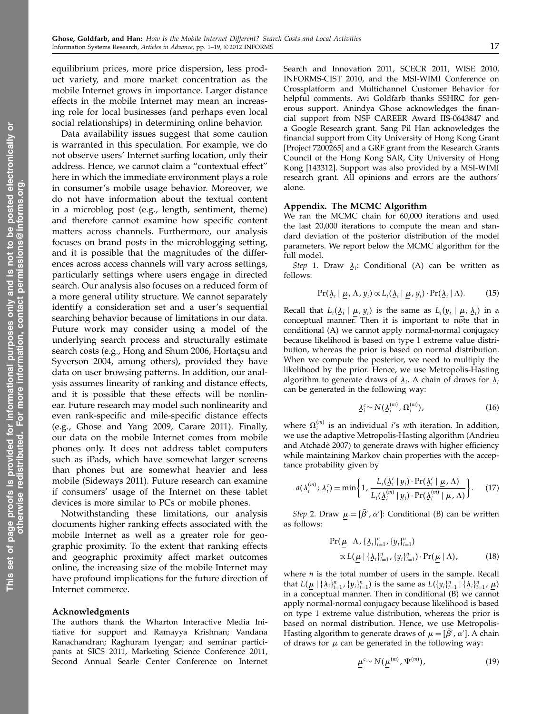equilibrium prices, more price dispersion, less product variety, and more market concentration as the mobile Internet grows in importance. Larger distance effects in the mobile Internet may mean an increasing role for local businesses (and perhaps even local social relationships) in determining online behavior.

Data availability issues suggest that some caution is warranted in this speculation. For example, we do not observe users' Internet surfing location, only their address. Hence, we cannot claim a "contextual effect" here in which the immediate environment plays a role in consumer's mobile usage behavior. Moreover, we do not have information about the textual content in a microblog post (e.g., length, sentiment, theme) and therefore cannot examine how specific content matters across channels. Furthermore, our analysis focuses on brand posts in the microblogging setting, and it is possible that the magnitudes of the differences across access channels will vary across settings, particularly settings where users engage in directed search. Our analysis also focuses on a reduced form of a more general utility structure. We cannot separately identify a consideration set and a user's sequential searching behavior because of limitations in our data. Future work may consider using a model of the underlying search process and structurally estimate search costs (e.g., Hong and Shum 2006, Hortaçsu and Syverson 2004, among others), provided they have data on user browsing patterns. In addition, our analysis assumes linearity of ranking and distance effects, and it is possible that these effects will be nonlinear. Future research may model such nonlinearity and even rank-specific and mile-specific distance effects (e.g., Ghose and Yang 2009, Carare 2011). Finally, our data on the mobile Internet comes from mobile phones only. It does not address tablet computers such as iPads, which have somewhat larger screens than phones but are somewhat heavier and less mobile (Sideways 2011). Future research can examine if consumers' usage of the Internet on these tablet devices is more similar to PCs or mobile phones.

Notwithstanding these limitations, our analysis documents higher ranking effects associated with the mobile Internet as well as a greater role for geographic proximity. To the extent that ranking effects and geographic proximity affect market outcomes online, the increasing size of the mobile Internet may have profound implications for the future direction of Internet commerce.

#### Acknowledgments

The authors thank the Wharton Interactive Media Initiative for support and Ramayya Krishnan; Vandana Ranachandran; Raghuram Iyengar; and seminar participants at SICS 2011, Marketing Science Conference 2011, Second Annual Searle Center Conference on Internet Search and Innovation 2011, SCECR 2011, WISE 2010, INFORMS-CIST 2010, and the MSI-WIMI Conference on Crossplatform and Multichannel Customer Behavior for helpful comments. Avi Goldfarb thanks SSHRC for generous support. Anindya Ghose acknowledges the financial support from NSF CAREER Award IIS-0643847 and a Google Research grant. Sang Pil Han acknowledges the financial support from City University of Hong Kong Grant [Project 7200265] and a GRF grant from the Research Grants Council of the Hong Kong SAR, City University of Hong Kong [143312]. Support was also provided by a MSI-WIMI research grant. All opinions and errors are the authors' alone.

### Appendix. The MCMC Algorithm

We ran the MCMC chain for 60,000 iterations and used the last 20,000 iterations to compute the mean and standard deviation of the posterior distribution of the model parameters. We report below the MCMC algorithm for the full model.

*Step* 1. Draw  $\underline{\lambda}_i$ : Conditional (A) can be written as follows:

$$
Pr(\underline{\lambda}_i | \underline{\mu}, \Lambda, y_i) \propto L_i(\underline{\lambda}_i | \underline{\mu}, y_i) \cdot Pr(\underline{\lambda}_i | \Lambda).
$$
 (15)

Recall that  $L_i(\underline{\lambda}_i \mid \underline{\mu}, y_i)$  is the same as  $L_i(y_i \mid \underline{\mu}, \underline{\lambda}_i)$  in a conceptual manner. Then it is important to note that in conditional (A) we cannot apply normal-normal conjugacy because likelihood is based on type 1 extreme value distribution, whereas the prior is based on normal distribution. When we compute the posterior, we need to multiply the likelihood by the prior. Hence, we use Metropolis-Hasting algorithm to generate draws of  $\Delta_i$ . A chain of draws for  $\Delta_i$ can be generated in the following way:

$$
\underline{\lambda}_i^c \sim N(\underline{\lambda}_i^{(m)}, \Omega_i^{(m)}), \tag{16}
$$

where  $\Omega_i^{(m)}$  is an individual *i's m*th iteration. In addition, we use the adaptive Metropolis-Hasting algorithm (Andrieu and Atchadè 2007) to generate draws with higher efficiency while maintaining Markov chain properties with the acceptance probability given by

$$
a(\lambda_i^{(m)}; \lambda_i^c) = \min\bigg\{1, \frac{L_i(\lambda_i^c \mid y_i) \cdot \Pr(\lambda_i^c \mid \underline{\mu}, \Lambda)}{L_i(\lambda_i^{(m)} \mid y_i) \cdot \Pr(\lambda_i^{(m)} \mid \underline{\mu}, \Lambda)}\bigg\}.
$$
 (17)

Step 2. Draw  $\mu = [\bar{\beta}', \alpha']$ : Conditional (B) can be written as follows:

$$
\Pr(\underline{\mu} \mid \Lambda, \{\underline{\lambda}_i\}_{i=1}^n, \{y_i\}_{i=1}^n)
$$
  
 
$$
\propto L(\underline{\mu} \mid \{\underline{\lambda}_i\}_{i=1}^n, \{y_i\}_{i=1}^n) \cdot \Pr(\underline{\mu} \mid \Lambda), \tag{18}
$$

where  $n$  is the total number of users in the sample. Recall that  $L(\underline{\mu} | {\{\lambda_i\}_{i=1}^n}, {y_i}_{i=1}^n)$  is the same as  $L({y_i}_{i=1}^n | {\{\lambda_i\}_{i=1}^n}, \underline{\mu})$ in a conceptual manner. Then in conditional (B) we cannot apply normal-normal conjugacy because likelihood is based on type 1 extreme value distribution, whereas the prior is based on normal distribution. Hence, we use Metropolis-Hasting algorithm to generate draws of  $\mu = [\bar{\beta}', \alpha']$ . A chain of draws for  $\mu$  can be generated in the following way:

$$
\mu^{c} \sim N(\mu^{(m)}, \Psi^{(m)}), \qquad (19)
$$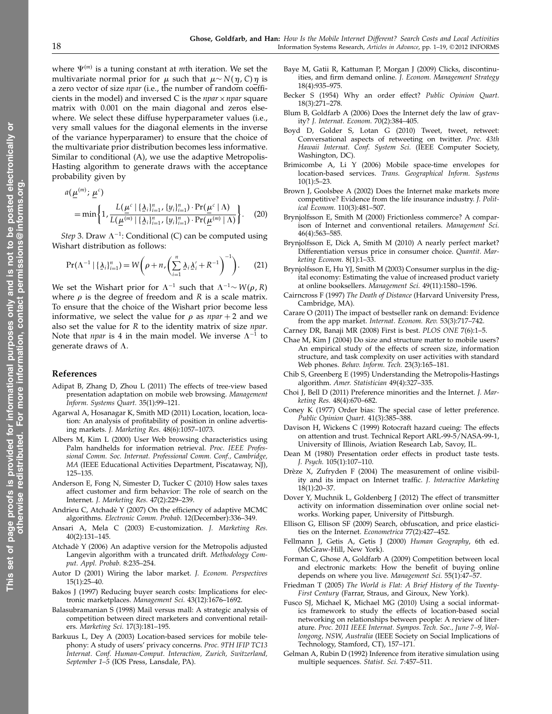where  $\Psi^{(m)}$  is a tuning constant at *mth* iteration. We set the multivariate normal prior for  $\mu$  such that  $\mu \sim N(\eta, C)\eta$  is a zero vector of size *npar* (i.e., the number of random coefficients in the model) and inversed C is the  $npar \times npar$  square matrix with 0.001 on the main diagonal and zeros elsewhere. We select these diffuse hyperparameter values (i.e., very small values for the diagonal elements in the inverse of the variance hyperparamer) to ensure that the choice of the multivariate prior distribution becomes less informative. Similar to conditional (A), we use the adaptive Metropolis-Hasting algorithm to generate draws with the acceptance probability given by

$$
a(\underline{\mu}^{(m)}; \underline{\mu}^{c})
$$
  
= min  $\left\{ 1, \frac{L(\underline{\mu}^{c} | {\lambda_i}_{i=1}^{n}, \{y_i\}_{i=1}^{n}) \cdot \Pr(\underline{\mu}^{c} | \Lambda)}{L(\underline{\mu}^{(m)} | {\lambda_i}_{i=1}^{n}, \{y_i\}_{i=1}^{n}) \cdot \Pr(\underline{\mu}^{(m)} | \Lambda)} \right\}$ . (20)

Step 3. Draw  $\Lambda^{-1}$ : Conditional (C) can be computed using Wishart distribution as follows:

$$
\Pr(\Lambda^{-1} | \{\lambda_i\}_{i=1}^n) = W\bigg(\rho + n, \left(\sum_{i=1}^n \lambda_i \Delta_i' + R^{-1}\right)^{-1}\bigg). \tag{21}
$$

We set the Wishart prior for  $\Lambda^{-1}$  such that  $\Lambda^{-1} \sim W(\rho, R)$ where  $\rho$  is the degree of freedom and R is a scale matrix. To ensure that the choice of the Wishart prior become less informative, we select the value for  $\rho$  as  $npar + 2$  and we also set the value for  $R$  to the identity matrix of size npar. Note that *npar* is 4 in the main model. We inverse  $\Lambda^{-1}$  to generate draws of  $\Lambda$ .

#### References

- Adipat B, Zhang D, Zhou L (2011) The effects of tree-view based presentation adaptation on mobile web browsing. Management  $\overline{l}$ Inform. Systems  $\overline{\dot{Q}}$ uart. 35(1):99-121.
- Agarwal A, Hosanagar K, Smith MD (2011) Location, location, location: An analysis of profitability of position in online advertising markets. J. Marketing Res. 48(6):1057–1073.
- Albers M, Kim L (2000) User Web browsing characteristics using Palm handhelds for information retrieval. Proc. IEEE Professional Comm. Soc. Internat. Professional Comm. Conf., Cambridge, MA (IEEE Educational Activities Department, Piscataway, NJ), 125–135.
- Anderson E, Fong N, Simester D, Tucker C (2010) How sales taxes affect customer and firm behavior: The role of search on the Internet. J. Marketing Res. 47(2):229–239.
- Andrieu C, Atchadè Y (2007) On the efficiency of adaptive MCMC algorithms. Electronic Comm. Probab. 12(December):336–349.
- Ansari A, Mela C (2003) E-customization. J. Marketing Res. 40(2):131–145.
- Atchadè Y (2006) An adaptive version for the Metropolis adjusted Langevin algorithm with a truncated drift. Methodology Comput. Appl. Probab. 8:235–254.
- Autor D (2001) Wiring the labor market. J. Econom. Perspectives 15(1):25–40.
- Bakos J (1997) Reducing buyer search costs: Implications for electronic marketplaces. Management Sci. 43(12):1676–1692.
- Balasubramanian S (1998) Mail versus mall: A strategic analysis of competition between direct marketers and conventional retailers. Marketing Sci. 17(3):181–195.
- Barkuus L, Dey A (2003) Location-based services for mobile telephony: A study of users' privacy concerns. Proc. 9TH IFIP TC13 Internat. Conf. Human-Comput. Interaction, Zurich, Switzerland, September 1–5 (IOS Press, Lansdale, PA).
- Baye M, Gatii R, Kattuman P, Morgan J (2009) Clicks, discontinuities, and firm demand online. J. Econom. Management Strategy 18(4):935–975.
- Becker S (1954) Why an order effect? Public Opinion Quart. 18(3):271–278.
- Blum B, Goldfarb A (2006) Does the Internet defy the law of gravity? J. Internat. Econom. 70(2):384–405.
- Boyd D, Golder S, Lotan G (2010) Tweet, tweet, retweet: Conversational aspects of retweeting on twitter. Proc. 43th Hawaii Internat. Conf. System Sci. (IEEE Computer Society, Washington, DC).
- Brimicombe A, Li Y (2006) Mobile space-time envelopes for location-based services. Trans. Geographical Inform. Systems  $10(1):5-23.$
- Brown J, Goolsbee A (2002) Does the Internet make markets more competitive? Evidence from the life insurance industry. J. Political Econom. 110(3):481–507.
- Brynjolfsson E, Smith M (2000) Frictionless commerce? A comparison of Internet and conventional retailers. Management Sci. 46(4):563–585.
- Brynjolfsson E, Dick A, Smith M (2010) A nearly perfect market? Differentiation versus price in consumer choice. Quantit. Marketing Econom. 8(1):1–33.
- Brynjolfsson E, Hu YJ, Smith M (2003) Consumer surplus in the digital economy: Estimating the value of increased product variety at online booksellers. Management Sci. 49(11):1580–1596.
- Cairncross F (1997) The Death of Distance (Harvard University Press, Cambridge, MA).
- Carare O (2011) The impact of bestseller rank on demand: Evidence from the app market. Internat. Econom. Rev. 53(3):717–742.
- Carney DR, Banaji MR (2008) First is best. PLOS ONE 7(6):1–5.
- Chae M, Kim J (2004) Do size and structure matter to mobile users? An empirical study of the effects of screen size, information structure, and task complexity on user activities with standard Web phones. Behav. Inform. Tech. 23(3):165–181.
- Chib S, Greenberg E (1995) Understanding the Metropolis-Hastings algorithm. Amer. Statistician 49(4):327–335.
- Choi J, Bell D (2011) Preference minorities and the Internet. J. Marketing Res. 48(4):670–682.
- Coney K (1977) Order bias: The special case of letter preference. Public Opinion Quart. 41(3):385–388.
- Davison H, Wickens C (1999) Rotocraft hazard cueing: The effects on attention and trust. Technical Report ARL-99-5/NASA-99-1, University of Illinois, Aviation Research Lab, Savoy, IL.
- Dean M (1980) Presentation order effects in product taste tests. J. Psych. 105(1):107–110.
- Drèze X, Zufryden F (2004) The measurement of online visibility and its impact on Internet traffic. J. Interactive Marketing 18(1):20–37.
- Dover Y, Muchnik L, Goldenberg J (2012) The effect of transmitter activity on information dissemination over online social networks. Working paper, University of Pittsburgh.
- Ellison G, Ellison SF (2009) Search, obfuscation, and price elasticities on the Internet. Econometrica 77(2):427–452.
- Fellmann J, Getis A, Getis J (2000) Human Geography, 6th ed. (McGraw-Hill, New York).
- Forman C, Ghose A, Goldfarb A (2009) Competition between local and electronic markets: How the benefit of buying online depends on where you live. Management Sci. 55(1):47–57.
- Friedman T (2005) The World is Flat: A Brief History of the Twenty-First Century (Farrar, Straus, and Giroux, New York).
- Fusco SJ, Michael K, Michael MG (2010) Using a social informatics framework to study the effects of location-based social networking on relationships between people: A review of literature. Proc. 2011 IEEE Internat. Sympos. Tech. Soc., June 7–9, Wollongong, NSW, Australia (IEEE Society on Social Implications of Technology, Stamford, CT), 157–171.
- Gelman A, Rubin D (1992) Inference from iterative simulation using multiple sequences. Statist. Sci. 7:457–511.